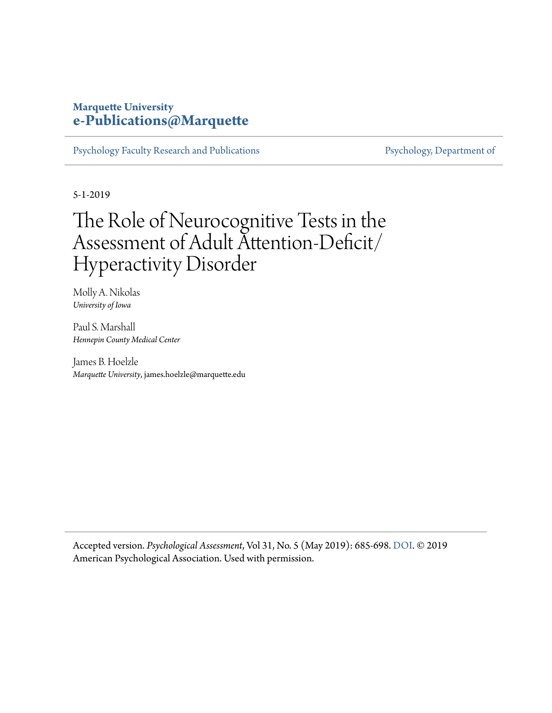## **Marquette University [e-Publications@Marquette](https://epublications.marquette.edu/)**

[Psychology Faculty Research and Publications](https://epublications.marquette.edu/psych_fac) [Psychology, Department of](https://epublications.marquette.edu/psychology)

5-1-2019

# The Role of Neurocognitive Tests in the Assessment of Adult Attention-Deficit/ Hyperactivity Disorder

Molly A. Nikolas *University of Iowa*

Paul S. Marshall *Hennepin County Medical Center*

James B. Hoelzle *Marquette University*, james.hoelzle@marquette.edu

Accepted version. *Psychological Assessment*, Vol 31, No. 5 (May 2019): 685-698. [DOI.](http://dx.doi.org/10.1037/pas0000688) © 2019 American Psychological Association. Used with permission.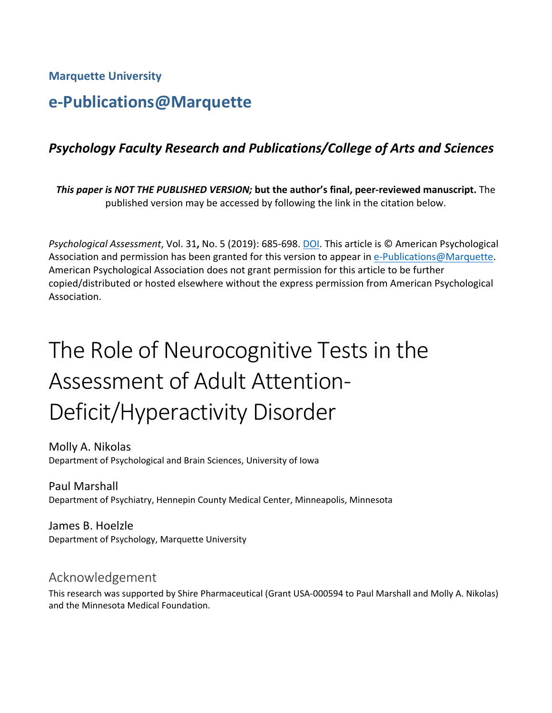**Marquette University**

# **e-Publications@Marquette**

# *Psychology Faculty Research and Publications/College of Arts and Sciences*

*This paper is NOT THE PUBLISHED VERSION;* **but the author's final, peer-reviewed manuscript.** The published version may be accessed by following the link in the citation below.

*Psychological Assessment*, Vol. 31**,** No. 5 (2019): 685-698. DOI. This article is © American Psychological Association and permission has been granted for this version to appear in [e-Publications@Marquette.](http://epublications.marquette.edu/) American Psychological Association does not grant permission for this article to be further copied/distributed or hosted elsewhere without the express permission from American Psychological Association.

# The Role of Neurocognitive Tests in the Assessment of Adult Attention-Deficit/Hyperactivity Disorder

Molly A. Nikolas Department of Psychological and Brain Sciences, University of Iowa

Paul Marshall Department of Psychiatry, Hennepin County Medical Center, Minneapolis, Minnesota

James B. Hoelzle Department of Psychology, Marquette University

# Acknowledgement

This research was supported by Shire Pharmaceutical (Grant USA-000594 to Paul Marshall and Molly A. Nikolas) and the Minnesota Medical Foundation.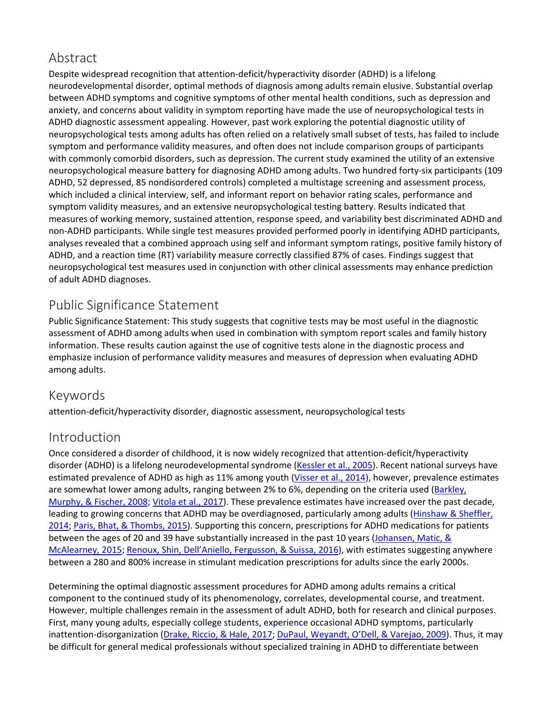# Abstract

Despite widespread recognition that attention-deficit/hyperactivity disorder (ADHD) is a lifelong neurodevelopmental disorder, optimal methods of diagnosis among adults remain elusive. Substantial overlap between ADHD symptoms and cognitive symptoms of other mental health conditions, such as depression and anxiety, and concerns about validity in symptom reporting have made the use of neuropsychological tests in ADHD diagnostic assessment appealing. However, past work exploring the potential diagnostic utility of neuropsychological tests among adults has often relied on a relatively small subset of tests, has failed to include symptom and performance validity measures, and often does not include comparison groups of participants with commonly comorbid disorders, such as depression. The current study examined the utility of an extensive neuropsychological measure battery for diagnosing ADHD among adults. Two hundred forty-six participants (109 ADHD, 52 depressed, 85 nondisordered controls) completed a multistage screening and assessment process, which included a clinical interview, self, and informant report on behavior rating scales, performance and symptom validity measures, and an extensive neuropsychological testing battery. Results indicated that measures of working memory, sustained attention, response speed, and variability best discriminated ADHD and non-ADHD participants. While single test measures provided performed poorly in identifying ADHD participants, analyses revealed that a combined approach using self and informant symptom ratings, positive family history of ADHD, and a reaction time (RT) variability measure correctly classified 87% of cases. Findings suggest that neuropsychological test measures used in conjunction with other clinical assessments may enhance prediction of adult ADHD diagnoses.

# Public Significance Statement

Public Significance Statement: This study suggests that cognitive tests may be most useful in the diagnostic assessment of ADHD among adults when used in combination with symptom report scales and family history information. These results caution against the use of cognitive tests alone in the diagnostic process and emphasize inclusion of performance validity measures and measures of depression when evaluating ADHD among adults.

# Keywords

attention-deficit/hyperactivity disorder, diagnostic assessment, neuropsychological tests

# Introduction

Once considered a disorder of childhood, it is now widely recognized that attention-deficit/hyperactivity disorder (ADHD) is a lifelong neurodevelopmental syndrome [\(Kessler et al., 2005\)](https://0-web-b-ebscohost-com.libus.csd.mu.edu/ehost/detail/detail?vid=3&sid=ba31a4a0-7759-4744-8a4b-f3a61b5b9fee%40pdc-v-sessmgr01&bdata=JnNpdGU9ZWhvc3QtbGl2ZQ%3d%3d#c42). Recent national surveys have estimated prevalence of ADHD as high as 11% among youth [\(Visser et al., 2014\)](https://0-web-b-ebscohost-com.libus.csd.mu.edu/ehost/detail/detail?vid=3&sid=ba31a4a0-7759-4744-8a4b-f3a61b5b9fee%40pdc-v-sessmgr01&bdata=JnNpdGU9ZWhvc3QtbGl2ZQ%3d%3d#c74), however, prevalence estimates are somewhat lower among adults, ranging between 2% to 6%, depending on the criteria used (Barkley, [Murphy, & Fischer, 2008;](https://0-web-b-ebscohost-com.libus.csd.mu.edu/ehost/detail/detail?vid=3&sid=ba31a4a0-7759-4744-8a4b-f3a61b5b9fee%40pdc-v-sessmgr01&bdata=JnNpdGU9ZWhvc3QtbGl2ZQ%3d%3d#c201) [Vitola et al., 2017\)](https://0-web-b-ebscohost-com.libus.csd.mu.edu/ehost/detail/detail?vid=3&sid=ba31a4a0-7759-4744-8a4b-f3a61b5b9fee%40pdc-v-sessmgr01&bdata=JnNpdGU9ZWhvc3QtbGl2ZQ%3d%3d#c75). These prevalence estimates have increased over the past decade, leading to growing concerns that ADHD may be overdiagnosed, particularly among adults (Hinshaw & Sheffler, [2014;](https://0-web-b-ebscohost-com.libus.csd.mu.edu/ehost/detail/detail?vid=3&sid=ba31a4a0-7759-4744-8a4b-f3a61b5b9fee%40pdc-v-sessmgr01&bdata=JnNpdGU9ZWhvc3QtbGl2ZQ%3d%3d#c37) [Paris, Bhat, & Thombs, 2015\)](https://0-web-b-ebscohost-com.libus.csd.mu.edu/ehost/detail/detail?vid=3&sid=ba31a4a0-7759-4744-8a4b-f3a61b5b9fee%40pdc-v-sessmgr01&bdata=JnNpdGU9ZWhvc3QtbGl2ZQ%3d%3d#c58). Supporting this concern, prescriptions for ADHD medications for patients between the ages of 20 and 39 have substantially increased in the past 10 years [\(Johansen, Matic, &](https://0-web-b-ebscohost-com.libus.csd.mu.edu/ehost/detail/detail?vid=3&sid=ba31a4a0-7759-4744-8a4b-f3a61b5b9fee%40pdc-v-sessmgr01&bdata=JnNpdGU9ZWhvc3QtbGl2ZQ%3d%3d#c40)  [McAlearney, 2015;](https://0-web-b-ebscohost-com.libus.csd.mu.edu/ehost/detail/detail?vid=3&sid=ba31a4a0-7759-4744-8a4b-f3a61b5b9fee%40pdc-v-sessmgr01&bdata=JnNpdGU9ZWhvc3QtbGl2ZQ%3d%3d#c40) [Renoux, Shin, Dell'Aniello, Fergusson, & Suissa, 2016\)](https://0-web-b-ebscohost-com.libus.csd.mu.edu/ehost/detail/detail?vid=3&sid=ba31a4a0-7759-4744-8a4b-f3a61b5b9fee%40pdc-v-sessmgr01&bdata=JnNpdGU9ZWhvc3QtbGl2ZQ%3d%3d#c64), with estimates suggesting anywhere between a 280 and 800% increase in stimulant medication prescriptions for adults since the early 2000s.

Determining the optimal diagnostic assessment procedures for ADHD among adults remains a critical component to the continued study of its phenomenology, correlates, developmental course, and treatment. However, multiple challenges remain in the assessment of adult ADHD, both for research and clinical purposes. First, many young adults, especially college students, experience occasional ADHD symptoms, particularly inattention-disorganization [\(Drake, Riccio, & Hale, 2017;](https://0-web-b-ebscohost-com.libus.csd.mu.edu/ehost/detail/detail?vid=3&sid=ba31a4a0-7759-4744-8a4b-f3a61b5b9fee%40pdc-v-sessmgr01&bdata=JnNpdGU9ZWhvc3QtbGl2ZQ%3d%3d#c26) [DuPaul, Weyandt, O'Dell, & Varejao, 2009\)](https://0-web-b-ebscohost-com.libus.csd.mu.edu/ehost/detail/detail?vid=3&sid=ba31a4a0-7759-4744-8a4b-f3a61b5b9fee%40pdc-v-sessmgr01&bdata=JnNpdGU9ZWhvc3QtbGl2ZQ%3d%3d#c27). Thus, it may be difficult for general medical professionals without specialized training in ADHD to differentiate between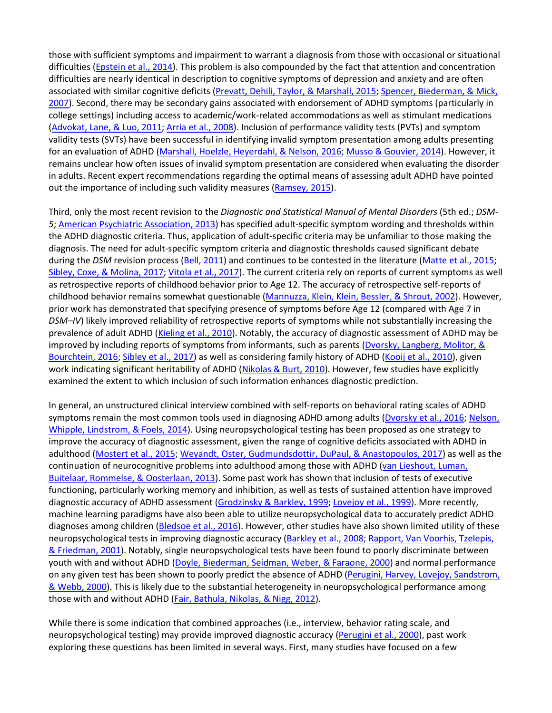those with sufficient symptoms and impairment to warrant a diagnosis from those with occasional or situational difficulties [\(Epstein et al., 2014\)](https://0-web-b-ebscohost-com.libus.csd.mu.edu/ehost/detail/detail?vid=3&sid=ba31a4a0-7759-4744-8a4b-f3a61b5b9fee%40pdc-v-sessmgr01&bdata=JnNpdGU9ZWhvc3QtbGl2ZQ%3d%3d#c29). This problem is also compounded by the fact that attention and concentration difficulties are nearly identical in description to cognitive symptoms of depression and anxiety and are often associated with similar cognitive deficits [\(Prevatt, Dehili, Taylor, & Marshall, 2015;](https://0-web-b-ebscohost-com.libus.csd.mu.edu/ehost/detail/detail?vid=3&sid=ba31a4a0-7759-4744-8a4b-f3a61b5b9fee%40pdc-v-sessmgr01&bdata=JnNpdGU9ZWhvc3QtbGl2ZQ%3d%3d#c61) Spencer, Biederman, & Mick, [2007\)](https://0-web-b-ebscohost-com.libus.csd.mu.edu/ehost/detail/detail?vid=3&sid=ba31a4a0-7759-4744-8a4b-f3a61b5b9fee%40pdc-v-sessmgr01&bdata=JnNpdGU9ZWhvc3QtbGl2ZQ%3d%3d#c71). Second, there may be secondary gains associated with endorsement of ADHD symptoms (particularly in college settings) including access to academic/work-related accommodations as well as stimulant medications [\(Advokat, Lane, & Luo, 2011;](https://0-web-b-ebscohost-com.libus.csd.mu.edu/ehost/detail/detail?vid=3&sid=ba31a4a0-7759-4744-8a4b-f3a61b5b9fee%40pdc-v-sessmgr01&bdata=JnNpdGU9ZWhvc3QtbGl2ZQ%3d%3d#c1) [Arria et al., 2008\)](https://0-web-b-ebscohost-com.libus.csd.mu.edu/ehost/detail/detail?vid=3&sid=ba31a4a0-7759-4744-8a4b-f3a61b5b9fee%40pdc-v-sessmgr01&bdata=JnNpdGU9ZWhvc3QtbGl2ZQ%3d%3d#c5). Inclusion of performance validity tests (PVTs) and symptom validity tests (SVTs) have been successful in identifying invalid symptom presentation among adults presenting for an evaluation of ADHD [\(Marshall, Hoelzle, Heyerdahl, & Nelson, 2016;](https://0-web-b-ebscohost-com.libus.csd.mu.edu/ehost/detail/detail?vid=3&sid=ba31a4a0-7759-4744-8a4b-f3a61b5b9fee%40pdc-v-sessmgr01&bdata=JnNpdGU9ZWhvc3QtbGl2ZQ%3d%3d#c48) [Musso & Gouvier, 2014\)](https://0-web-b-ebscohost-com.libus.csd.mu.edu/ehost/detail/detail?vid=3&sid=ba31a4a0-7759-4744-8a4b-f3a61b5b9fee%40pdc-v-sessmgr01&bdata=JnNpdGU9ZWhvc3QtbGl2ZQ%3d%3d#c55). However, it remains unclear how often issues of invalid symptom presentation are considered when evaluating the disorder in adults. Recent expert recommendations regarding the optimal means of assessing adult ADHD have pointed out the importance of including such validity measures [\(Ramsey, 2015\)](https://0-web-b-ebscohost-com.libus.csd.mu.edu/ehost/detail/detail?vid=3&sid=ba31a4a0-7759-4744-8a4b-f3a61b5b9fee%40pdc-v-sessmgr01&bdata=JnNpdGU9ZWhvc3QtbGl2ZQ%3d%3d#c62).

Third, only the most recent revision to the *Diagnostic and Statistical Manual of Mental Disorders* (5th ed.; *DSM-5*; [American Psychiatric Association, 2013\)](https://0-web-b-ebscohost-com.libus.csd.mu.edu/ehost/detail/detail?vid=3&sid=ba31a4a0-7759-4744-8a4b-f3a61b5b9fee%40pdc-v-sessmgr01&bdata=JnNpdGU9ZWhvc3QtbGl2ZQ%3d%3d#c4) has specified adult-specific symptom wording and thresholds within the ADHD diagnostic criteria. Thus, application of adult-specific criteria may be unfamiliar to those making the diagnosis. The need for adult-specific symptom criteria and diagnostic thresholds caused significant debate during the *DSM* revision process [\(Bell, 2011\)](https://0-web-b-ebscohost-com.libus.csd.mu.edu/ehost/detail/detail?vid=3&sid=ba31a4a0-7759-4744-8a4b-f3a61b5b9fee%40pdc-v-sessmgr01&bdata=JnNpdGU9ZWhvc3QtbGl2ZQ%3d%3d#c15) and continues to be contested in the literature [\(Matte et al., 2015;](https://0-web-b-ebscohost-com.libus.csd.mu.edu/ehost/detail/detail?vid=3&sid=ba31a4a0-7759-4744-8a4b-f3a61b5b9fee%40pdc-v-sessmgr01&bdata=JnNpdGU9ZWhvc3QtbGl2ZQ%3d%3d#c50) [Sibley, Coxe, & Molina, 2017;](https://0-web-b-ebscohost-com.libus.csd.mu.edu/ehost/detail/detail?vid=3&sid=ba31a4a0-7759-4744-8a4b-f3a61b5b9fee%40pdc-v-sessmgr01&bdata=JnNpdGU9ZWhvc3QtbGl2ZQ%3d%3d#c69) [Vitola et al., 2017\)](https://0-web-b-ebscohost-com.libus.csd.mu.edu/ehost/detail/detail?vid=3&sid=ba31a4a0-7759-4744-8a4b-f3a61b5b9fee%40pdc-v-sessmgr01&bdata=JnNpdGU9ZWhvc3QtbGl2ZQ%3d%3d#c75). The current criteria rely on reports of current symptoms as well as retrospective reports of childhood behavior prior to Age 12. The accuracy of retrospective self-reports of childhood behavior remains somewhat questionable [\(Mannuzza, Klein, Klein, Bessler, & Shrout, 2002\)](https://0-web-b-ebscohost-com.libus.csd.mu.edu/ehost/detail/detail?vid=3&sid=ba31a4a0-7759-4744-8a4b-f3a61b5b9fee%40pdc-v-sessmgr01&bdata=JnNpdGU9ZWhvc3QtbGl2ZQ%3d%3d#c47). However, prior work has demonstrated that specifying presence of symptoms before Age 12 (compared with Age 7 in *DSM–IV*) likely improved reliability of retrospective reports of symptoms while not substantially increasing the prevalence of adult ADHD [\(Kieling et](https://0-web-b-ebscohost-com.libus.csd.mu.edu/ehost/detail/detail?vid=3&sid=ba31a4a0-7759-4744-8a4b-f3a61b5b9fee%40pdc-v-sessmgr01&bdata=JnNpdGU9ZWhvc3QtbGl2ZQ%3d%3d#c44) al., 2010). Notably, the accuracy of diagnostic assessment of ADHD may be improved by including reports of symptoms from informants, such as parents (Dvorsky, Langberg, Molitor, & [Bourchtein, 2016;](https://0-web-b-ebscohost-com.libus.csd.mu.edu/ehost/detail/detail?vid=3&sid=ba31a4a0-7759-4744-8a4b-f3a61b5b9fee%40pdc-v-sessmgr01&bdata=JnNpdGU9ZWhvc3QtbGl2ZQ%3d%3d#c28) [Sibley et al., 2017\)](https://0-web-b-ebscohost-com.libus.csd.mu.edu/ehost/detail/detail?vid=3&sid=ba31a4a0-7759-4744-8a4b-f3a61b5b9fee%40pdc-v-sessmgr01&bdata=JnNpdGU9ZWhvc3QtbGl2ZQ%3d%3d#c69) as well as considering family history of ADHD [\(Kooij et al., 2010\)](https://0-web-b-ebscohost-com.libus.csd.mu.edu/ehost/detail/detail?vid=3&sid=ba31a4a0-7759-4744-8a4b-f3a61b5b9fee%40pdc-v-sessmgr01&bdata=JnNpdGU9ZWhvc3QtbGl2ZQ%3d%3d#c45), given work indicating significant heritability of ADHD [\(Nikolas & Burt, 2010\)](https://0-web-b-ebscohost-com.libus.csd.mu.edu/ehost/detail/detail?vid=3&sid=ba31a4a0-7759-4744-8a4b-f3a61b5b9fee%40pdc-v-sessmgr01&bdata=JnNpdGU9ZWhvc3QtbGl2ZQ%3d%3d#c57). However, few studies have explicitly examined the extent to which inclusion of such information enhances diagnostic prediction.

In general, an unstructured clinical interview combined with self-reports on behavioral rating scales of ADHD symptoms remain the most common tools used in diagnosing ADHD among adults [\(Dvorsky et al., 2016;](https://0-web-b-ebscohost-com.libus.csd.mu.edu/ehost/detail/detail?vid=3&sid=ba31a4a0-7759-4744-8a4b-f3a61b5b9fee%40pdc-v-sessmgr01&bdata=JnNpdGU9ZWhvc3QtbGl2ZQ%3d%3d#c28) [Nelson,](https://0-web-b-ebscohost-com.libus.csd.mu.edu/ehost/detail/detail?vid=3&sid=ba31a4a0-7759-4744-8a4b-f3a61b5b9fee%40pdc-v-sessmgr01&bdata=JnNpdGU9ZWhvc3QtbGl2ZQ%3d%3d#c56)  [Whipple, Lindstrom, & Foels, 2014\)](https://0-web-b-ebscohost-com.libus.csd.mu.edu/ehost/detail/detail?vid=3&sid=ba31a4a0-7759-4744-8a4b-f3a61b5b9fee%40pdc-v-sessmgr01&bdata=JnNpdGU9ZWhvc3QtbGl2ZQ%3d%3d#c56). Using neuropsychological testing has been proposed as one strategy to improve the accuracy of diagnostic assessment, given the range of cognitive deficits associated with ADHD in adulthood [\(Mostert et al., 2015;](https://0-web-b-ebscohost-com.libus.csd.mu.edu/ehost/detail/detail?vid=3&sid=ba31a4a0-7759-4744-8a4b-f3a61b5b9fee%40pdc-v-sessmgr01&bdata=JnNpdGU9ZWhvc3QtbGl2ZQ%3d%3d#c54) [Weyandt, Oster, Gudmundsdottir, DuPaul, & Anastopoulos, 2017\)](https://0-web-b-ebscohost-com.libus.csd.mu.edu/ehost/detail/detail?vid=3&sid=ba31a4a0-7759-4744-8a4b-f3a61b5b9fee%40pdc-v-sessmgr01&bdata=JnNpdGU9ZWhvc3QtbGl2ZQ%3d%3d#c80) as well as the continuation of neurocognitive problems into adulthood among those with ADHD [\(van Lieshout, Luman,](https://0-web-b-ebscohost-com.libus.csd.mu.edu/ehost/detail/detail?vid=3&sid=ba31a4a0-7759-4744-8a4b-f3a61b5b9fee%40pdc-v-sessmgr01&bdata=JnNpdGU9ZWhvc3QtbGl2ZQ%3d%3d#c73)  [Buitelaar, Rommelse, & Oosterlaan, 2013\)](https://0-web-b-ebscohost-com.libus.csd.mu.edu/ehost/detail/detail?vid=3&sid=ba31a4a0-7759-4744-8a4b-f3a61b5b9fee%40pdc-v-sessmgr01&bdata=JnNpdGU9ZWhvc3QtbGl2ZQ%3d%3d#c73). Some past work has shown that inclusion of tests of executive functioning, particularly working memory and inhibition, as well as tests of sustained attention have improved diagnostic accuracy of ADHD assessment [\(Grodzinsky & Barkley, 1999;](https://0-web-b-ebscohost-com.libus.csd.mu.edu/ehost/detail/detail?vid=3&sid=ba31a4a0-7759-4744-8a4b-f3a61b5b9fee%40pdc-v-sessmgr01&bdata=JnNpdGU9ZWhvc3QtbGl2ZQ%3d%3d#c34) [Lovejoy et al., 1999\)](https://0-web-b-ebscohost-com.libus.csd.mu.edu/ehost/detail/detail?vid=3&sid=ba31a4a0-7759-4744-8a4b-f3a61b5b9fee%40pdc-v-sessmgr01&bdata=JnNpdGU9ZWhvc3QtbGl2ZQ%3d%3d#c46). More recently, machine learning paradigms have also been able to utilize neuropsychological data to accurately predict ADHD diagnoses among children [\(Bledsoe et al., 2016\)](https://0-web-b-ebscohost-com.libus.csd.mu.edu/ehost/detail/detail?vid=3&sid=ba31a4a0-7759-4744-8a4b-f3a61b5b9fee%40pdc-v-sessmgr01&bdata=JnNpdGU9ZWhvc3QtbGl2ZQ%3d%3d#c16). However, other studies have also shown limited utility of these neuropsychological tests in improving diagnostic accuracy [\(Barkley et al., 2008;](https://0-web-b-ebscohost-com.libus.csd.mu.edu/ehost/detail/detail?vid=3&sid=ba31a4a0-7759-4744-8a4b-f3a61b5b9fee%40pdc-v-sessmgr01&bdata=JnNpdGU9ZWhvc3QtbGl2ZQ%3d%3d#c201) [Rapport, Van Voorhis, Tzelepis,](https://0-web-b-ebscohost-com.libus.csd.mu.edu/ehost/detail/detail?vid=3&sid=ba31a4a0-7759-4744-8a4b-f3a61b5b9fee%40pdc-v-sessmgr01&bdata=JnNpdGU9ZWhvc3QtbGl2ZQ%3d%3d#c63)  [& Friedman, 2001\)](https://0-web-b-ebscohost-com.libus.csd.mu.edu/ehost/detail/detail?vid=3&sid=ba31a4a0-7759-4744-8a4b-f3a61b5b9fee%40pdc-v-sessmgr01&bdata=JnNpdGU9ZWhvc3QtbGl2ZQ%3d%3d#c63). Notably, single neuropsychological tests have been found to poorly discriminate between youth with and without ADHD [\(Doyle, Biederman, Seidman, Weber, & Faraone, 2000\)](https://0-web-b-ebscohost-com.libus.csd.mu.edu/ehost/detail/detail?vid=3&sid=ba31a4a0-7759-4744-8a4b-f3a61b5b9fee%40pdc-v-sessmgr01&bdata=JnNpdGU9ZWhvc3QtbGl2ZQ%3d%3d#c25) and normal performance on any given test has been shown to poorly predict the absence of ADHD (Perugini, Harvey, Lovejoy, Sandstrom, [& Webb, 2000\)](https://0-web-b-ebscohost-com.libus.csd.mu.edu/ehost/detail/detail?vid=3&sid=ba31a4a0-7759-4744-8a4b-f3a61b5b9fee%40pdc-v-sessmgr01&bdata=JnNpdGU9ZWhvc3QtbGl2ZQ%3d%3d#c60). This is likely due to the substantial heterogeneity in neuropsychological performance among those with and without ADHD [\(Fair, Bathula, Nikolas, & Nigg, 2012\)](https://0-web-b-ebscohost-com.libus.csd.mu.edu/ehost/detail/detail?vid=3&sid=ba31a4a0-7759-4744-8a4b-f3a61b5b9fee%40pdc-v-sessmgr01&bdata=JnNpdGU9ZWhvc3QtbGl2ZQ%3d%3d#c30).

While there is some indication that combined approaches (i.e., interview, behavior rating scale, and neuropsychological testing) may provide improved diagnostic accuracy [\(Perugini et al., 2000\)](https://0-web-b-ebscohost-com.libus.csd.mu.edu/ehost/detail/detail?vid=3&sid=ba31a4a0-7759-4744-8a4b-f3a61b5b9fee%40pdc-v-sessmgr01&bdata=JnNpdGU9ZWhvc3QtbGl2ZQ%3d%3d#c60), past work exploring these questions has been limited in several ways. First, many studies have focused on a few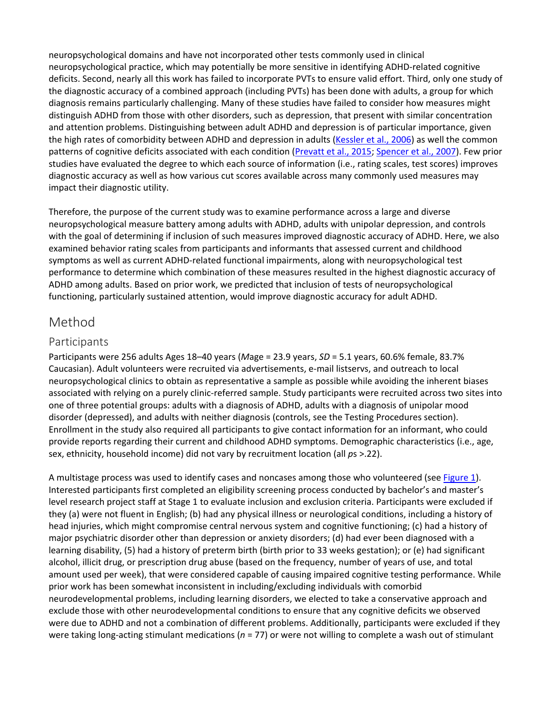neuropsychological domains and have not incorporated other tests commonly used in clinical neuropsychological practice, which may potentially be more sensitive in identifying ADHD-related cognitive deficits. Second, nearly all this work has failed to incorporate PVTs to ensure valid effort. Third, only one study of the diagnostic accuracy of a combined approach (including PVTs) has been done with adults, a group for which diagnosis remains particularly challenging. Many of these studies have failed to consider how measures might distinguish ADHD from those with other disorders, such as depression, that present with similar concentration and attention problems. Distinguishing between adult ADHD and depression is of particular importance, given the high rates of comorbidity between ADHD and depression in adults [\(Kessler et al., 2006\)](https://0-web-b-ebscohost-com.libus.csd.mu.edu/ehost/detail/detail?vid=3&sid=ba31a4a0-7759-4744-8a4b-f3a61b5b9fee%40pdc-v-sessmgr01&bdata=JnNpdGU9ZWhvc3QtbGl2ZQ%3d%3d#c41) as well the common patterns of cognitive deficits associated with each condition [\(Prevatt et al., 2015;](https://0-web-b-ebscohost-com.libus.csd.mu.edu/ehost/detail/detail?vid=3&sid=ba31a4a0-7759-4744-8a4b-f3a61b5b9fee%40pdc-v-sessmgr01&bdata=JnNpdGU9ZWhvc3QtbGl2ZQ%3d%3d#c61) [Spencer et al., 2007\)](https://0-web-b-ebscohost-com.libus.csd.mu.edu/ehost/detail/detail?vid=3&sid=ba31a4a0-7759-4744-8a4b-f3a61b5b9fee%40pdc-v-sessmgr01&bdata=JnNpdGU9ZWhvc3QtbGl2ZQ%3d%3d#c71). Few prior studies have evaluated the degree to which each source of information (i.e., rating scales, test scores) improves diagnostic accuracy as well as how various cut scores available across many commonly used measures may impact their diagnostic utility.

Therefore, the purpose of the current study was to examine performance across a large and diverse neuropsychological measure battery among adults with ADHD, adults with unipolar depression, and controls with the goal of determining if inclusion of such measures improved diagnostic accuracy of ADHD. Here, we also examined behavior rating scales from participants and informants that assessed current and childhood symptoms as well as current ADHD-related functional impairments, along with neuropsychological test performance to determine which combination of these measures resulted in the highest diagnostic accuracy of ADHD among adults. Based on prior work, we predicted that inclusion of tests of neuropsychological functioning, particularly sustained attention, would improve diagnostic accuracy for adult ADHD.

# Method

#### Participants

Participants were 256 adults Ages 18–40 years (*M*age = 23.9 years, *SD* = 5.1 years, 60.6% female, 83.7% Caucasian). Adult volunteers were recruited via advertisements, e-mail listservs, and outreach to local neuropsychological clinics to obtain as representative a sample as possible while avoiding the inherent biases associated with relying on a purely clinic-referred sample. Study participants were recruited across two sites into one of three potential groups: adults with a diagnosis of ADHD, adults with a diagnosis of unipolar mood disorder (depressed), and adults with neither diagnosis (controls, see the Testing Procedures section). Enrollment in the study also required all participants to give contact information for an informant, who could provide reports regarding their current and childhood ADHD symptoms. Demographic characteristics (i.e., age, sex, ethnicity, household income) did not vary by recruitment location (all *p*s >.22).

A multistage process was used to identify cases and noncases among those who volunteered (see [Figure 1\)](https://0-web-b-ebscohost-com.libus.csd.mu.edu/ehost/detail/detail?vid=3&sid=ba31a4a0-7759-4744-8a4b-f3a61b5b9fee%40pdc-v-sessmgr01&bdata=JnNpdGU9ZWhvc3QtbGl2ZQ%3d%3d#fig1). Interested participants first completed an eligibility screening process conducted by bachelor's and master's level research project staff at Stage 1 to evaluate inclusion and exclusion criteria. Participants were excluded if they (a) were not fluent in English; (b) had any physical illness or neurological conditions, including a history of head injuries, which might compromise central nervous system and cognitive functioning; (c) had a history of major psychiatric disorder other than depression or anxiety disorders; (d) had ever been diagnosed with a learning disability, (5) had a history of preterm birth (birth prior to 33 weeks gestation); or (e) had significant alcohol, illicit drug, or prescription drug abuse (based on the frequency, number of years of use, and total amount used per week), that were considered capable of causing impaired cognitive testing performance. While prior work has been somewhat inconsistent in including/excluding individuals with comorbid neurodevelopmental problems, including learning disorders, we elected to take a conservative approach and exclude those with other neurodevelopmental conditions to ensure that any cognitive deficits we observed were due to ADHD and not a combination of different problems. Additionally, participants were excluded if they were taking long-acting stimulant medications (*n* = 77) or were not willing to complete a wash out of stimulant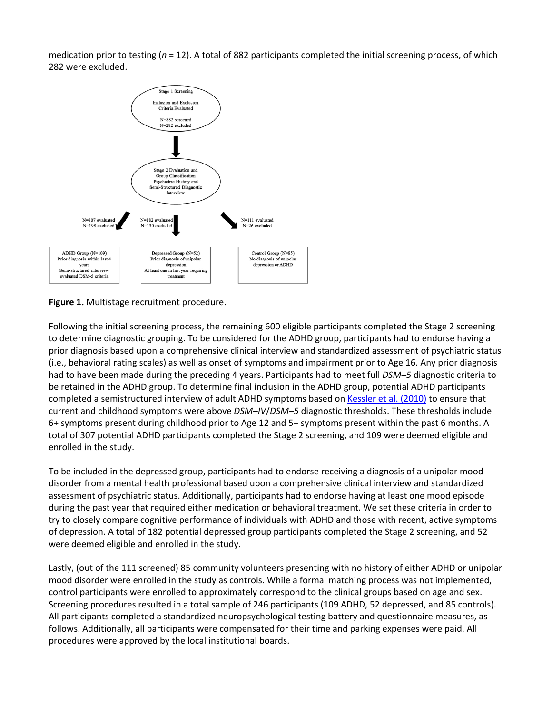medication prior to testing (*n* = 12). A total of 882 participants completed the initial screening process, of which 282 were excluded.



**Figure 1.** Multistage recruitment procedure.

Following the initial screening process, the remaining 600 eligible participants completed the Stage 2 screening to determine diagnostic grouping. To be considered for the ADHD group, participants had to endorse having a prior diagnosis based upon a comprehensive clinical interview and standardized assessment of psychiatric status (i.e., behavioral rating scales) as well as onset of symptoms and impairment prior to Age 16. Any prior diagnosis had to have been made during the preceding 4 years. Participants had to meet full *DSM–5* diagnostic criteria to be retained in the ADHD group. To determine final inclusion in the ADHD group, potential ADHD participants completed a semistructured interview of adult ADHD symptoms based o[n Kessler et al. \(2010\)](https://0-web-b-ebscohost-com.libus.csd.mu.edu/ehost/detail/detail?vid=3&sid=ba31a4a0-7759-4744-8a4b-f3a61b5b9fee%40pdc-v-sessmgr01&bdata=JnNpdGU9ZWhvc3QtbGl2ZQ%3d%3d#c43) to ensure that current and childhood symptoms were above *DSM–IV*/*DSM–5* diagnostic thresholds. These thresholds include 6+ symptoms present during childhood prior to Age 12 and 5+ symptoms present within the past 6 months. A total of 307 potential ADHD participants completed the Stage 2 screening, and 109 were deemed eligible and enrolled in the study.

To be included in the depressed group, participants had to endorse receiving a diagnosis of a unipolar mood disorder from a mental health professional based upon a comprehensive clinical interview and standardized assessment of psychiatric status. Additionally, participants had to endorse having at least one mood episode during the past year that required either medication or behavioral treatment. We set these criteria in order to try to closely compare cognitive performance of individuals with ADHD and those with recent, active symptoms of depression. A total of 182 potential depressed group participants completed the Stage 2 screening, and 52 were deemed eligible and enrolled in the study.

Lastly, (out of the 111 screened) 85 community volunteers presenting with no history of either ADHD or unipolar mood disorder were enrolled in the study as controls. While a formal matching process was not implemented, control participants were enrolled to approximately correspond to the clinical groups based on age and sex. Screening procedures resulted in a total sample of 246 participants (109 ADHD, 52 depressed, and 85 controls). All participants completed a standardized neuropsychological testing battery and questionnaire measures, as follows. Additionally, all participants were compensated for their time and parking expenses were paid. All procedures were approved by the local institutional boards.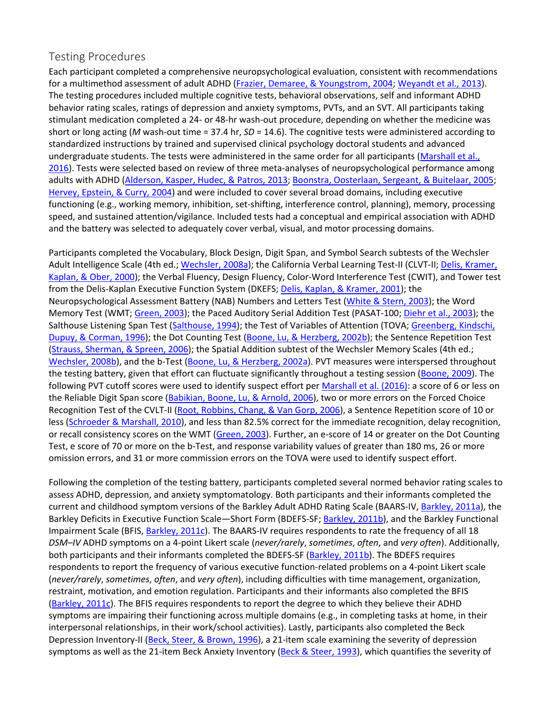#### Testing Procedures

Each participant completed a comprehensive neuropsychological evaluation, consistent with recommendations for a multimethod assessment of adult ADHD [\(Frazier, Demaree, & Youngstrom, 2004;](https://0-web-b-ebscohost-com.libus.csd.mu.edu/ehost/detail/detail?vid=3&sid=ba31a4a0-7759-4744-8a4b-f3a61b5b9fee%40pdc-v-sessmgr01&bdata=JnNpdGU9ZWhvc3QtbGl2ZQ%3d%3d#c31) [Weyandt et al., 2013\)](https://0-web-b-ebscohost-com.libus.csd.mu.edu/ehost/detail/detail?vid=3&sid=ba31a4a0-7759-4744-8a4b-f3a61b5b9fee%40pdc-v-sessmgr01&bdata=JnNpdGU9ZWhvc3QtbGl2ZQ%3d%3d#c209). The testing procedures included multiple cognitive tests, behavioral observations, self and informant ADHD behavior rating scales, ratings of depression and anxiety symptoms, PVTs, and an SVT. All participants taking stimulant medication completed a 24- or 48-hr wash-out procedure, depending on whether the medicine was short or long acting (*M* wash-out time = 37.4 hr, *SD* = 14.6). The cognitive tests were administered according to standardized instructions by trained and supervised clinical psychology doctoral students and advanced undergraduate students. The tests were administered in the same order for all participants [\(Marshall et al.,](https://0-web-b-ebscohost-com.libus.csd.mu.edu/ehost/detail/detail?vid=3&sid=ba31a4a0-7759-4744-8a4b-f3a61b5b9fee%40pdc-v-sessmgr01&bdata=JnNpdGU9ZWhvc3QtbGl2ZQ%3d%3d#c48)  [2016\)](https://0-web-b-ebscohost-com.libus.csd.mu.edu/ehost/detail/detail?vid=3&sid=ba31a4a0-7759-4744-8a4b-f3a61b5b9fee%40pdc-v-sessmgr01&bdata=JnNpdGU9ZWhvc3QtbGl2ZQ%3d%3d#c48). Tests were selected based on review of three meta-analyses of neuropsychological performance among adults with ADHD [\(Alderson, Kasper, Hudec, & Patros, 2013;](https://0-web-b-ebscohost-com.libus.csd.mu.edu/ehost/detail/detail?vid=3&sid=ba31a4a0-7759-4744-8a4b-f3a61b5b9fee%40pdc-v-sessmgr01&bdata=JnNpdGU9ZWhvc3QtbGl2ZQ%3d%3d#c3) [Boonstra, Oosterlaan, Sergeant, & Buitelaar, 2005;](https://0-web-b-ebscohost-com.libus.csd.mu.edu/ehost/detail/detail?vid=3&sid=ba31a4a0-7759-4744-8a4b-f3a61b5b9fee%40pdc-v-sessmgr01&bdata=JnNpdGU9ZWhvc3QtbGl2ZQ%3d%3d#c203) [Hervey, Epstein, & Curry, 2004\)](https://0-web-b-ebscohost-com.libus.csd.mu.edu/ehost/detail/detail?vid=3&sid=ba31a4a0-7759-4744-8a4b-f3a61b5b9fee%40pdc-v-sessmgr01&bdata=JnNpdGU9ZWhvc3QtbGl2ZQ%3d%3d#c205) and were included to cover several broad domains, including executive functioning (e.g., working memory, inhibition, set-shifting, interference control, planning), memory, processing speed, and sustained attention/vigilance. Included tests had a conceptual and empirical association with ADHD and the battery was selected to adequately cover verbal, visual, and motor processing domains.

Participants completed the Vocabulary, Block Design, Digit Span, and Symbol Search subtests of the Wechsler Adult Intelligence Scale (4th ed.[; Wechsler, 2008a\)](https://0-web-b-ebscohost-com.libus.csd.mu.edu/ehost/detail/detail?vid=3&sid=ba31a4a0-7759-4744-8a4b-f3a61b5b9fee%40pdc-v-sessmgr01&bdata=JnNpdGU9ZWhvc3QtbGl2ZQ%3d%3d#c77); the California Verbal Learning Test-II (CLVT-II; Delis, Kramer, [Kaplan, & Ober, 2000\)](https://0-web-b-ebscohost-com.libus.csd.mu.edu/ehost/detail/detail?vid=3&sid=ba31a4a0-7759-4744-8a4b-f3a61b5b9fee%40pdc-v-sessmgr01&bdata=JnNpdGU9ZWhvc3QtbGl2ZQ%3d%3d#c23); the Verbal Fluency, Design Fluency, Color-Word Interference Test (CWIT), and Tower test from the Delis-Kaplan Executive Function System (DKEFS[; Delis, Kaplan, & Kramer, 2001\)](https://0-web-b-ebscohost-com.libus.csd.mu.edu/ehost/detail/detail?vid=3&sid=ba31a4a0-7759-4744-8a4b-f3a61b5b9fee%40pdc-v-sessmgr01&bdata=JnNpdGU9ZWhvc3QtbGl2ZQ%3d%3d#c22); the Neuropsychological Assessment Battery (NAB) Numbers and Letters Test [\(White & Stern, 2003\)](https://0-web-b-ebscohost-com.libus.csd.mu.edu/ehost/detail/detail?vid=3&sid=ba31a4a0-7759-4744-8a4b-f3a61b5b9fee%40pdc-v-sessmgr01&bdata=JnNpdGU9ZWhvc3QtbGl2ZQ%3d%3d#c81); the Word Memory Test (WMT; [Green, 2003\)](https://0-web-b-ebscohost-com.libus.csd.mu.edu/ehost/detail/detail?vid=3&sid=ba31a4a0-7759-4744-8a4b-f3a61b5b9fee%40pdc-v-sessmgr01&bdata=JnNpdGU9ZWhvc3QtbGl2ZQ%3d%3d#c32); the Paced Auditory Serial Addition Test (PASAT-100; [Diehr et al., 2003\)](https://0-web-b-ebscohost-com.libus.csd.mu.edu/ehost/detail/detail?vid=3&sid=ba31a4a0-7759-4744-8a4b-f3a61b5b9fee%40pdc-v-sessmgr01&bdata=JnNpdGU9ZWhvc3QtbGl2ZQ%3d%3d#c24); the Salthouse Listening Span Test [\(Salthouse, 1994\)](https://0-web-b-ebscohost-com.libus.csd.mu.edu/ehost/detail/detail?vid=3&sid=ba31a4a0-7759-4744-8a4b-f3a61b5b9fee%40pdc-v-sessmgr01&bdata=JnNpdGU9ZWhvc3QtbGl2ZQ%3d%3d#c67); the Test of Variables of Attention (TOVA; [Greenberg, Kindschi,](https://0-web-b-ebscohost-com.libus.csd.mu.edu/ehost/detail/detail?vid=3&sid=ba31a4a0-7759-4744-8a4b-f3a61b5b9fee%40pdc-v-sessmgr01&bdata=JnNpdGU9ZWhvc3QtbGl2ZQ%3d%3d#c33)  [Dupuy, & Corman, 1996\)](https://0-web-b-ebscohost-com.libus.csd.mu.edu/ehost/detail/detail?vid=3&sid=ba31a4a0-7759-4744-8a4b-f3a61b5b9fee%40pdc-v-sessmgr01&bdata=JnNpdGU9ZWhvc3QtbGl2ZQ%3d%3d#c33); the Dot Counting Test [\(Boone, Lu, & Herzberg, 2002b\)](https://0-web-b-ebscohost-com.libus.csd.mu.edu/ehost/detail/detail?vid=3&sid=ba31a4a0-7759-4744-8a4b-f3a61b5b9fee%40pdc-v-sessmgr01&bdata=JnNpdGU9ZWhvc3QtbGl2ZQ%3d%3d#c18); the Sentence Repetition Test [\(Strauss, Sherman, & Spreen, 2006\)](https://0-web-b-ebscohost-com.libus.csd.mu.edu/ehost/detail/detail?vid=3&sid=ba31a4a0-7759-4744-8a4b-f3a61b5b9fee%40pdc-v-sessmgr01&bdata=JnNpdGU9ZWhvc3QtbGl2ZQ%3d%3d#c72); the Spatial Addition subtest of the Wechsler Memory Scales (4th ed.; [Wechsler, 2008b\)](https://0-web-b-ebscohost-com.libus.csd.mu.edu/ehost/detail/detail?vid=3&sid=ba31a4a0-7759-4744-8a4b-f3a61b5b9fee%40pdc-v-sessmgr01&bdata=JnNpdGU9ZWhvc3QtbGl2ZQ%3d%3d#c78), and the b-Test [\(Boone, Lu, & Herzberg, 2002a\)](https://0-web-b-ebscohost-com.libus.csd.mu.edu/ehost/detail/detail?vid=3&sid=ba31a4a0-7759-4744-8a4b-f3a61b5b9fee%40pdc-v-sessmgr01&bdata=JnNpdGU9ZWhvc3QtbGl2ZQ%3d%3d#c202). PVT measures were interspersed throughout the testing battery, given that effort can fluctuate significantly throughout a testing session [\(Boone, 2009\)](https://0-web-b-ebscohost-com.libus.csd.mu.edu/ehost/detail/detail?vid=3&sid=ba31a4a0-7759-4744-8a4b-f3a61b5b9fee%40pdc-v-sessmgr01&bdata=JnNpdGU9ZWhvc3QtbGl2ZQ%3d%3d#c17). The following PVT cutoff scores were used to identify suspect effort per [Marshall et al. \(2016\):](https://0-web-b-ebscohost-com.libus.csd.mu.edu/ehost/detail/detail?vid=3&sid=ba31a4a0-7759-4744-8a4b-f3a61b5b9fee%40pdc-v-sessmgr01&bdata=JnNpdGU9ZWhvc3QtbGl2ZQ%3d%3d#c48) a score of 6 or less on the Reliable Digit Span score [\(Babikian, Boone, Lu, & Arnold, 2006\)](https://0-web-b-ebscohost-com.libus.csd.mu.edu/ehost/detail/detail?vid=3&sid=ba31a4a0-7759-4744-8a4b-f3a61b5b9fee%40pdc-v-sessmgr01&bdata=JnNpdGU9ZWhvc3QtbGl2ZQ%3d%3d#c7), two or more errors on the Forced Choice Recognition Test of the CVLT-II [\(Root, Robbins, Chang, & Van Gorp, 2006\)](https://0-web-b-ebscohost-com.libus.csd.mu.edu/ehost/detail/detail?vid=3&sid=ba31a4a0-7759-4744-8a4b-f3a61b5b9fee%40pdc-v-sessmgr01&bdata=JnNpdGU9ZWhvc3QtbGl2ZQ%3d%3d#c65), a Sentence Repetition score of 10 or less [\(Schroeder & Marshall, 2010\)](https://0-web-b-ebscohost-com.libus.csd.mu.edu/ehost/detail/detail?vid=3&sid=ba31a4a0-7759-4744-8a4b-f3a61b5b9fee%40pdc-v-sessmgr01&bdata=JnNpdGU9ZWhvc3QtbGl2ZQ%3d%3d#c68), and less than 82.5% correct for the immediate recognition, delay recognition, or recall consistency scores on the WMT [\(Green, 2003\)](https://0-web-b-ebscohost-com.libus.csd.mu.edu/ehost/detail/detail?vid=3&sid=ba31a4a0-7759-4744-8a4b-f3a61b5b9fee%40pdc-v-sessmgr01&bdata=JnNpdGU9ZWhvc3QtbGl2ZQ%3d%3d#c32). Further, an e-score of 14 or greater on the Dot Counting Test, e score of 70 or more on the b-Test, and response variability values of greater than 180 ms, 26 or more omission errors, and 31 or more commission errors on the TOVA were used to identify suspect effort.

Following the completion of the testing battery, participants completed several normed behavior rating scales to assess ADHD, depression, and anxiety symptomatology. Both participants and their informants completed the current and childhood symptom versions of the Barkley Adult ADHD Rating Scale (BAARS-IV, [Barkley, 2011a\)](https://0-web-b-ebscohost-com.libus.csd.mu.edu/ehost/detail/detail?vid=3&sid=ba31a4a0-7759-4744-8a4b-f3a61b5b9fee%40pdc-v-sessmgr01&bdata=JnNpdGU9ZWhvc3QtbGl2ZQ%3d%3d#c8), the Barkley Deficits in Executive Function Scale—Short Form (BDEFS-SF; [Barkley, 2011b\)](https://0-web-b-ebscohost-com.libus.csd.mu.edu/ehost/detail/detail?vid=3&sid=ba31a4a0-7759-4744-8a4b-f3a61b5b9fee%40pdc-v-sessmgr01&bdata=JnNpdGU9ZWhvc3QtbGl2ZQ%3d%3d#c9), and the Barkley Functional Impairment Scale (BFIS, [Barkley, 2011c\)](https://0-web-b-ebscohost-com.libus.csd.mu.edu/ehost/detail/detail?vid=3&sid=ba31a4a0-7759-4744-8a4b-f3a61b5b9fee%40pdc-v-sessmgr01&bdata=JnNpdGU9ZWhvc3QtbGl2ZQ%3d%3d#c10). The BAARS-IV requires respondents to rate the frequency of all 18 *DSM–IV* ADHD symptoms on a 4-point Likert scale (*never/rarely*, *sometimes*, *often*, and *very often*). Additionally, both participants and their informants completed the BDEFS-SF [\(Barkley, 2011b\)](https://0-web-b-ebscohost-com.libus.csd.mu.edu/ehost/detail/detail?vid=3&sid=ba31a4a0-7759-4744-8a4b-f3a61b5b9fee%40pdc-v-sessmgr01&bdata=JnNpdGU9ZWhvc3QtbGl2ZQ%3d%3d#c9). The BDEFS requires respondents to report the frequency of various executive function-related problems on a 4-point Likert scale (*never/rarely*, *sometimes*, *often*, and *very often*), including difficulties with time management, organization, restraint, motivation, and emotion regulation. Participants and their informants also completed the BFIS [\(Barkley, 2011c\)](https://0-web-b-ebscohost-com.libus.csd.mu.edu/ehost/detail/detail?vid=3&sid=ba31a4a0-7759-4744-8a4b-f3a61b5b9fee%40pdc-v-sessmgr01&bdata=JnNpdGU9ZWhvc3QtbGl2ZQ%3d%3d#c10). The BFIS requires respondents to report the degree to which they believe their ADHD symptoms are impairing their functioning across multiple domains (e.g., in completing tasks at home, in their interpersonal relationships, in their work/school activities). Lastly, participants also completed the Beck Depression Inventory-II [\(Beck, Steer, & Brown, 1996\)](https://0-web-b-ebscohost-com.libus.csd.mu.edu/ehost/detail/detail?vid=3&sid=ba31a4a0-7759-4744-8a4b-f3a61b5b9fee%40pdc-v-sessmgr01&bdata=JnNpdGU9ZWhvc3QtbGl2ZQ%3d%3d#c13), a 21-item scale examining the severity of depression symptoms as well as the 21-item Beck Anxiety Inventory [\(Beck & Steer, 1993\)](https://0-web-b-ebscohost-com.libus.csd.mu.edu/ehost/detail/detail?vid=3&sid=ba31a4a0-7759-4744-8a4b-f3a61b5b9fee%40pdc-v-sessmgr01&bdata=JnNpdGU9ZWhvc3QtbGl2ZQ%3d%3d#c12), which quantifies the severity of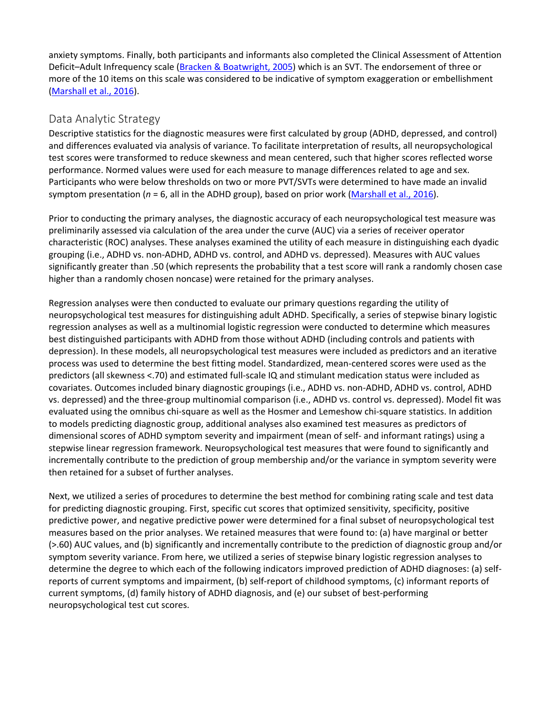anxiety symptoms. Finally, both participants and informants also completed the Clinical Assessment of Attention Deficit–Adult Infrequency scale [\(Bracken & Boatwright, 2005\)](https://0-web-b-ebscohost-com.libus.csd.mu.edu/ehost/detail/detail?vid=3&sid=ba31a4a0-7759-4744-8a4b-f3a61b5b9fee%40pdc-v-sessmgr01&bdata=JnNpdGU9ZWhvc3QtbGl2ZQ%3d%3d#c20) which is an SVT. The endorsement of three or more of the 10 items on this scale was considered to be indicative of symptom exaggeration or embellishment [\(Marshall et al., 2016\)](https://0-web-b-ebscohost-com.libus.csd.mu.edu/ehost/detail/detail?vid=3&sid=ba31a4a0-7759-4744-8a4b-f3a61b5b9fee%40pdc-v-sessmgr01&bdata=JnNpdGU9ZWhvc3QtbGl2ZQ%3d%3d#c48).

#### Data Analytic Strategy

Descriptive statistics for the diagnostic measures were first calculated by group (ADHD, depressed, and control) and differences evaluated via analysis of variance. To facilitate interpretation of results, all neuropsychological test scores were transformed to reduce skewness and mean centered, such that higher scores reflected worse performance. Normed values were used for each measure to manage differences related to age and sex. Participants who were below thresholds on two or more PVT/SVTs were determined to have made an invalid symptom presentation (*n* = 6, all in the ADHD group), based on prior work [\(Marshall et al., 2016\)](https://0-web-b-ebscohost-com.libus.csd.mu.edu/ehost/detail/detail?vid=3&sid=ba31a4a0-7759-4744-8a4b-f3a61b5b9fee%40pdc-v-sessmgr01&bdata=JnNpdGU9ZWhvc3QtbGl2ZQ%3d%3d#c48).

Prior to conducting the primary analyses, the diagnostic accuracy of each neuropsychological test measure was preliminarily assessed via calculation of the area under the curve (AUC) via a series of receiver operator characteristic (ROC) analyses. These analyses examined the utility of each measure in distinguishing each dyadic grouping (i.e., ADHD vs. non-ADHD, ADHD vs. control, and ADHD vs. depressed). Measures with AUC values significantly greater than .50 (which represents the probability that a test score will rank a randomly chosen case higher than a randomly chosen noncase) were retained for the primary analyses.

Regression analyses were then conducted to evaluate our primary questions regarding the utility of neuropsychological test measures for distinguishing adult ADHD. Specifically, a series of stepwise binary logistic regression analyses as well as a multinomial logistic regression were conducted to determine which measures best distinguished participants with ADHD from those without ADHD (including controls and patients with depression). In these models, all neuropsychological test measures were included as predictors and an iterative process was used to determine the best fitting model. Standardized, mean-centered scores were used as the predictors (all skewness <.70) and estimated full-scale IQ and stimulant medication status were included as covariates. Outcomes included binary diagnostic groupings (i.e., ADHD vs. non-ADHD, ADHD vs. control, ADHD vs. depressed) and the three-group multinomial comparison (i.e., ADHD vs. control vs. depressed). Model fit was evaluated using the omnibus chi-square as well as the Hosmer and Lemeshow chi-square statistics. In addition to models predicting diagnostic group, additional analyses also examined test measures as predictors of dimensional scores of ADHD symptom severity and impairment (mean of self- and informant ratings) using a stepwise linear regression framework. Neuropsychological test measures that were found to significantly and incrementally contribute to the prediction of group membership and/or the variance in symptom severity were then retained for a subset of further analyses.

Next, we utilized a series of procedures to determine the best method for combining rating scale and test data for predicting diagnostic grouping. First, specific cut scores that optimized sensitivity, specificity, positive predictive power, and negative predictive power were determined for a final subset of neuropsychological test measures based on the prior analyses. We retained measures that were found to: (a) have marginal or better (>.60) AUC values, and (b) significantly and incrementally contribute to the prediction of diagnostic group and/or symptom severity variance. From here, we utilized a series of stepwise binary logistic regression analyses to determine the degree to which each of the following indicators improved prediction of ADHD diagnoses: (a) selfreports of current symptoms and impairment, (b) self-report of childhood symptoms, (c) informant reports of current symptoms, (d) family history of ADHD diagnosis, and (e) our subset of best-performing neuropsychological test cut scores.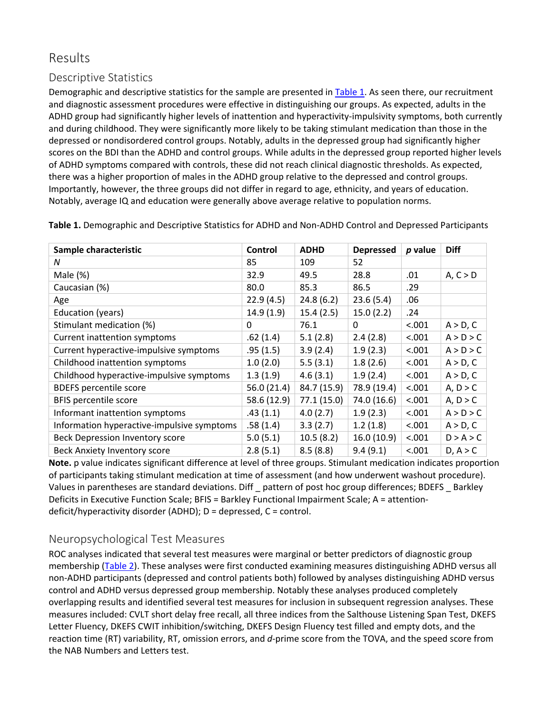# Results

#### Descriptive Statistics

Demographic and descriptive statistics for the sample are presented in [Table 1.](https://0-web-b-ebscohost-com.libus.csd.mu.edu/ehost/detail/detail?vid=3&sid=ba31a4a0-7759-4744-8a4b-f3a61b5b9fee%40pdc-v-sessmgr01&bdata=JnNpdGU9ZWhvc3QtbGl2ZQ%3d%3d#tbl1) As seen there, our recruitment and diagnostic assessment procedures were effective in distinguishing our groups. As expected, adults in the ADHD group had significantly higher levels of inattention and hyperactivity-impulsivity symptoms, both currently and during childhood. They were significantly more likely to be taking stimulant medication than those in the depressed or nondisordered control groups. Notably, adults in the depressed group had significantly higher scores on the BDI than the ADHD and control groups. While adults in the depressed group reported higher levels of ADHD symptoms compared with controls, these did not reach clinical diagnostic thresholds. As expected, there was a higher proportion of males in the ADHD group relative to the depressed and control groups. Importantly, however, the three groups did not differ in regard to age, ethnicity, and years of education. Notably, average IQ and education were generally above average relative to population norms.

| Sample characteristic                      | Control     | <b>ADHD</b> | <b>Depressed</b> | $p$ value | <b>Diff</b> |
|--------------------------------------------|-------------|-------------|------------------|-----------|-------------|
| N                                          | 85          | 109         | 52               |           |             |
| Male (%)                                   | 32.9        | 49.5        | 28.8             | .01       | A, C > D    |
| Caucasian (%)                              | 80.0        | 85.3        | 86.5             | .29       |             |
| Age                                        | 22.9(4.5)   | 24.8(6.2)   | 23.6(5.4)        | .06       |             |
| Education (years)                          | 14.9(1.9)   | 15.4(2.5)   | 15.0(2.2)        | .24       |             |
| Stimulant medication (%)                   | 0           | 76.1        | 0                | < .001    | A > D, C    |
| Current inattention symptoms               | .62(1.4)    | 5.1(2.8)    | 2.4(2.8)         | < .001    | A > D > C   |
| Current hyperactive-impulsive symptoms     | .95(1.5)    | 3.9(2.4)    | 1.9(2.3)         | < .001    | A > D > C   |
| Childhood inattention symptoms             | 1.0(2.0)    | 5.5(3.1)    | 1.8(2.6)         | < .001    | A > D, C    |
| Childhood hyperactive-impulsive symptoms   | 1.3(1.9)    | 4.6(3.1)    | 1.9(2.4)         | < .001    | A > D, C    |
| <b>BDEFS percentile score</b>              | 56.0 (21.4) | 84.7 (15.9) | 78.9 (19.4)      | < .001    | A, D > C    |
| <b>BFIS percentile score</b>               | 58.6 (12.9) | 77.1(15.0)  | 74.0 (16.6)      | < .001    | A, D > C    |
| Informant inattention symptoms             | .43(1.1)    | 4.0(2.7)    | 1.9(2.3)         | < .001    | A > D > C   |
| Information hyperactive-impulsive symptoms | .58(1.4)    | 3.3(2.7)    | 1.2(1.8)         | < .001    | A > D, C    |
| Beck Depression Inventory score            | 5.0(5.1)    | 10.5(8.2)   | 16.0(10.9)       | < .001    | D > A > C   |
| Beck Anxiety Inventory score               | 2.8(5.1)    | 8.5(8.8)    | 9.4(9.1)         | < .001    | D, A > C    |

**Table 1.** Demographic and Descriptive Statistics for ADHD and Non-ADHD Control and Depressed Participants

**Note.** p value indicates significant difference at level of three groups. Stimulant medication indicates proportion of participants taking stimulant medication at time of assessment (and how underwent washout procedure). Values in parentheses are standard deviations. Diff \_ pattern of post hoc group differences; BDEFS \_ Barkley Deficits in Executive Function Scale; BFIS = Barkley Functional Impairment Scale; A = attentiondeficit/hyperactivity disorder (ADHD); D = depressed, C = control.

#### Neuropsychological Test Measures

ROC analyses indicated that several test measures were marginal or better predictors of diagnostic group membership [\(Table 2\)](https://0-web-b-ebscohost-com.libus.csd.mu.edu/ehost/detail/detail?vid=3&sid=ba31a4a0-7759-4744-8a4b-f3a61b5b9fee%40pdc-v-sessmgr01&bdata=JnNpdGU9ZWhvc3QtbGl2ZQ%3d%3d#tbl2). These analyses were first conducted examining measures distinguishing ADHD versus all non-ADHD participants (depressed and control patients both) followed by analyses distinguishing ADHD versus control and ADHD versus depressed group membership. Notably these analyses produced completely overlapping results and identified several test measures for inclusion in subsequent regression analyses. These measures included: CVLT short delay free recall, all three indices from the Salthouse Listening Span Test, DKEFS Letter Fluency, DKEFS CWIT inhibition/switching, DKEFS Design Fluency test filled and empty dots, and the reaction time (RT) variability, RT, omission errors, and *d*-prime score from the TOVA, and the speed score from the NAB Numbers and Letters test.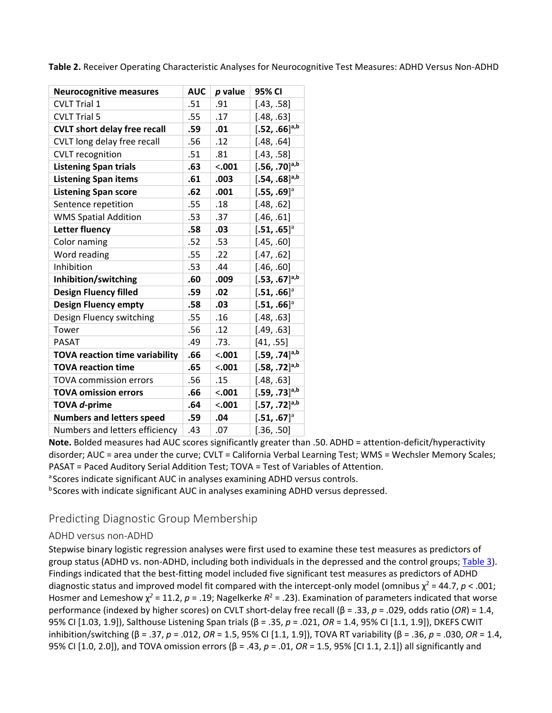| <b>Neurocognitive measures</b>        | <b>AUC</b> | p value | 95% CI                      |
|---------------------------------------|------------|---------|-----------------------------|
| <b>CVLT Trial 1</b>                   | .51        | .91     | [.43, .58]                  |
| <b>CVLT Trial 5</b>                   | .55        | .17     | [.48, .63]                  |
| <b>CVLT short delay free recall</b>   | .59        | .01     | $[.52, .66]^{a,b}$          |
| CVLT long delay free recall           | .56        | .12     | [.48, .64]                  |
| <b>CVLT</b> recognition               | .51        | .81     | [.43, .58]                  |
| <b>Listening Span trials</b>          | .63        | $-.001$ | $[.56, .70]$ <sup>a,b</sup> |
| <b>Listening Span items</b>           | .61        | .003    | $[.54, .68]^{a,b}$          |
| <b>Listening Span score</b>           | .62        | .001    | $[.55, .69]$ <sup>a</sup>   |
| Sentence repetition                   | .55        | .18     | [.48, .62]                  |
| <b>WMS Spatial Addition</b>           | .53        | .37     | [.46, .61]                  |
| <b>Letter fluency</b>                 | .58        | .03     | $[.51, .65]$ <sup>a</sup>   |
| Color naming                          | .52        | .53     | [.45, .60]                  |
| Word reading                          | .55        | .22     | [.47, .62]                  |
| Inhibition                            | .53        | .44     | [.46, .60]                  |
| Inhibition/switching                  | .60        | .009    | $[.53, .67]$ <sup>a,b</sup> |
| <b>Design Fluency filled</b>          | .59        | .02     | $[.51, .66]$ <sup>a</sup>   |
| <b>Design Fluency empty</b>           | .58        | .03     | $[.51, .66]$ <sup>a</sup>   |
| Design Fluency switching              | .55        | .16     | [.48, .63]                  |
| Tower                                 | .56        | .12     | [.49, .63]                  |
| <b>PASAT</b>                          | .49        | .73.    | [41, .55]                   |
| <b>TOVA reaction time variability</b> | .66        | $-.001$ | $[.59, .74]$ <sup>a,b</sup> |
| <b>TOVA reaction time</b>             | .65        | $-.001$ | $[.58, .72]$ <sup>a,b</sup> |
| <b>TOVA commission errors</b>         | .56        | .15     | [.48, .63]                  |
| <b>TOVA omission errors</b>           | .66        | $-.001$ | $[.59, .73]$ <sup>a,b</sup> |
| TOVA <i>d</i> -prime                  | .64        | $-.001$ | $[.57, .72]^{a,b}$          |
| <b>Numbers and letters speed</b>      | .59        | .04     | $[.51, .67]$ <sup>a</sup>   |
| Numbers and letters efficiency        | .43        | .07     | [.36, .50]                  |

**Table 2.** Receiver Operating Characteristic Analyses for Neurocognitive Test Measures: ADHD Versus Non-ADHD

**Note.** Bolded measures had AUC scores significantly greater than .50. ADHD = attention-deficit/hyperactivity disorder; AUC = area under the curve; CVLT = California Verbal Learning Test; WMS = Wechsler Memory Scales; PASAT = Paced Auditory Serial Addition Test; TOVA = Test of Variables of Attention.

a Scores indicate significant AUC in analyses examining ADHD versus controls.

<sup>b</sup> Scores with indicate significant AUC in analyses examining ADHD versus depressed.

#### Predicting Diagnostic Group Membership

#### ADHD versus non-ADHD

Stepwise binary logistic regression analyses were first used to examine these test measures as predictors of group status (ADHD vs. non-ADHD, including both individuals in the depressed and the control groups; [Table 3\)](https://0-web-b-ebscohost-com.libus.csd.mu.edu/ehost/detail/detail?vid=3&sid=ba31a4a0-7759-4744-8a4b-f3a61b5b9fee%40pdc-v-sessmgr01&bdata=JnNpdGU9ZWhvc3QtbGl2ZQ%3d%3d#tbl3). Findings indicated that the best-fitting model included five significant test measures as predictors of ADHD diagnostic status and improved model fit compared with the intercept-only model (omnibus  $\chi^2 = 44.7$ ,  $p < .001$ ; Hosmer and Lemeshow χ*<sup>2</sup>* = 11.2, *p* = .19; Nagelkerke *R*<sup>2</sup> = .23). Examination of parameters indicated that worse performance (indexed by higher scores) on CVLT short-delay free recall (β = .33, *p* = .029, odds ratio (*OR*) = 1.4, 95% CI [1.03, 1.9]), Salthouse Listening Span trials (β = .35, *p* = .021, *OR* = 1.4, 95% CI [1.1, 1.9]), DKEFS CWIT inhibition/switching (β = .37, *p* = .012, *OR* = 1.5, 95% CI [1.1, 1.9]), TOVA RT variability (β = .36, *p* = .030, *OR* = 1.4, 95% CI [1.0, 2.0]), and TOVA omission errors (β = .43, *p* = .01, *OR* = 1.5, 95% [CI 1.1, 2.1]) all significantly and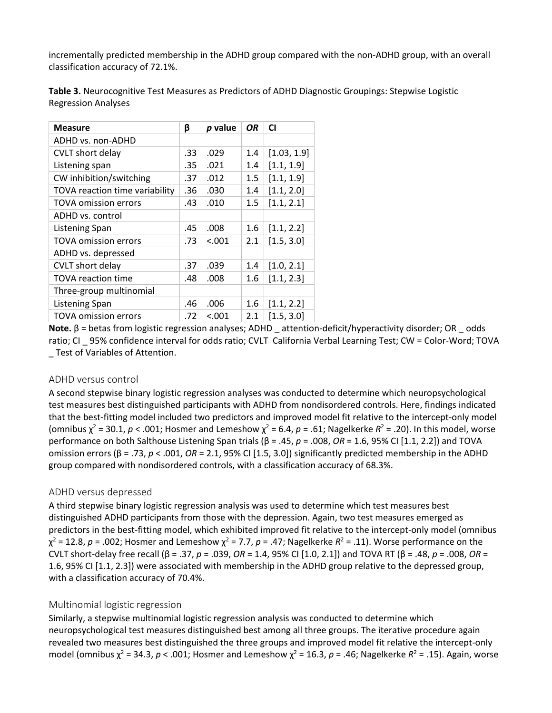incrementally predicted membership in the ADHD group compared with the non-ADHD group, with an overall classification accuracy of 72.1%.

| <b>Measure</b>                 | β   | p value | OR.     | <b>CI</b>   |
|--------------------------------|-----|---------|---------|-------------|
| ADHD vs. non-ADHD              |     |         |         |             |
| <b>CVLT</b> short delay        | .33 | .029    | 1.4     | [1.03, 1.9] |
| Listening span                 | .35 | .021    | 1.4     | [1.1, 1.9]  |
| CW inhibition/switching        | .37 | .012    | $1.5\,$ | [1.1, 1.9]  |
| TOVA reaction time variability | .36 | .030    | 1.4     | [1.1, 2.0]  |
| <b>TOVA omission errors</b>    | .43 | .010    | 1.5     | [1.1, 2.1]  |
| ADHD vs. control               |     |         |         |             |
| <b>Listening Span</b>          | .45 | .008    | 1.6     | [1.1, 2.2]  |
| <b>TOVA omission errors</b>    | .73 | < .001  | 2.1     | [1.5, 3.0]  |
| ADHD vs. depressed             |     |         |         |             |
| CVLT short delay               | .37 | .039    | 1.4     | [1.0, 2.1]  |
| <b>TOVA</b> reaction time      | .48 | .008    | 1.6     | [1.1, 2.3]  |
| Three-group multinomial        |     |         |         |             |
| Listening Span                 | .46 | .006    | 1.6     | [1.1, 2.2]  |
| <b>TOVA omission errors</b>    | .72 | < .001  | 2.1     | [1.5, 3.0]  |

**Table 3.** Neurocognitive Test Measures as Predictors of ADHD Diagnostic Groupings: Stepwise Logistic Regression Analyses

**Note.** β = betas from logistic regression analyses; ADHD \_ attention-deficit/hyperactivity disorder; OR \_ odds ratio; CI \_ 95% confidence interval for odds ratio; CVLT California Verbal Learning Test; CW = Color-Word; TOVA \_ Test of Variables of Attention.

#### ADHD versus control

A second stepwise binary logistic regression analyses was conducted to determine which neuropsychological test measures best distinguished participants with ADHD from nondisordered controls. Here, findings indicated that the best-fitting model included two predictors and improved model fit relative to the intercept-only model (omnibus  $\chi^2$  = 30.1,  $p$  < .001; Hosmer and Lemeshow  $\chi^2$  = 6.4,  $p$  = .61; Nagelkerke  $R^2$  = .20). In this model, worse performance on both Salthouse Listening Span trials (β = .45, *p* = .008, *OR* = 1.6, 95% CI [1.1, 2.2]) and TOVA omission errors (β = .73, *p* < .001, *OR* = 2.1, 95% CI [1.5, 3.0]) significantly predicted membership in the ADHD group compared with nondisordered controls, with a classification accuracy of 68.3%.

#### ADHD versus depressed

A third stepwise binary logistic regression analysis was used to determine which test measures best distinguished ADHD participants from those with the depression. Again, two test measures emerged as predictors in the best-fitting model, which exhibited improved fit relative to the intercept-only model (omnibus  $\chi^2$  = 12.8, *p* = .002; Hosmer and Lemeshow  $\chi^2$  = 7.7, *p* = .47; Nagelkerke  $R^2$  = .11). Worse performance on the CVLT short-delay free recall (β = .37, *p* = .039, *OR* = 1.4, 95% CI [1.0, 2.1]) and TOVA RT (β = .48, *p* = .008, *OR* = 1.6, 95% CI [1.1, 2.3]) were associated with membership in the ADHD group relative to the depressed group, with a classification accuracy of 70.4%.

#### Multinomial logistic regression

Similarly, a stepwise multinomial logistic regression analysis was conducted to determine which neuropsychological test measures distinguished best among all three groups. The iterative procedure again revealed two measures best distinguished the three groups and improved model fit relative the intercept-only model (omnibus χ<sup>2</sup> = 34.3, *p* < .001; Hosmer and Lemeshow χ<sup>2</sup> = 16.3, *p* = .46; Nagelkerke *R*<sup>2</sup> = .15). Again, worse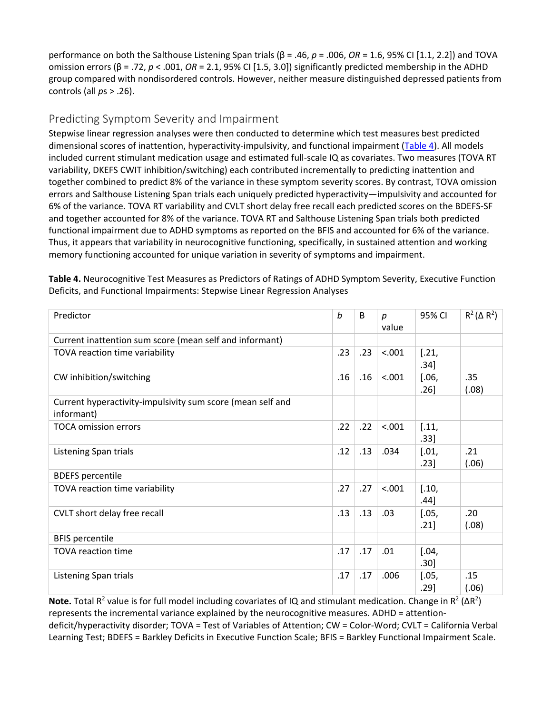performance on both the Salthouse Listening Span trials (β = .46, *p* = .006, *OR* = 1.6, 95% CI [1.1, 2.2]) and TOVA omission errors (β = .72, *p* < .001, *OR* = 2.1, 95% CI [1.5, 3.0]) significantly predicted membership in the ADHD group compared with nondisordered controls. However, neither measure distinguished depressed patients from controls (all *p*s > .26).

#### Predicting Symptom Severity and Impairment

Stepwise linear regression analyses were then conducted to determine which test measures best predicted dimensional scores of inattention, hyperactivity-impulsivity, and functional impairment [\(Table 4\)](https://0-web-b-ebscohost-com.libus.csd.mu.edu/ehost/detail/detail?vid=3&sid=ba31a4a0-7759-4744-8a4b-f3a61b5b9fee%40pdc-v-sessmgr01&bdata=JnNpdGU9ZWhvc3QtbGl2ZQ%3d%3d#tbl4). All models included current stimulant medication usage and estimated full-scale IQ as covariates. Two measures (TOVA RT variability, DKEFS CWIT inhibition/switching) each contributed incrementally to predicting inattention and together combined to predict 8% of the variance in these symptom severity scores. By contrast, TOVA omission errors and Salthouse Listening Span trials each uniquely predicted hyperactivity—impulsivity and accounted for 6% of the variance. TOVA RT variability and CVLT short delay free recall each predicted scores on the BDEFS-SF and together accounted for 8% of the variance. TOVA RT and Salthouse Listening Span trials both predicted functional impairment due to ADHD symptoms as reported on the BFIS and accounted for 6% of the variance. Thus, it appears that variability in neurocognitive functioning, specifically, in sustained attention and working memory functioning accounted for unique variation in severity of symptoms and impairment.

| Predictor                                                                         | b   | B.  | р<br>value | 95% CI          | $R^2(\Delta R^2)$           |
|-----------------------------------------------------------------------------------|-----|-----|------------|-----------------|-----------------------------|
| Current inattention sum score (mean self and informant)                           |     |     |            |                 |                             |
| TOVA reaction time variability                                                    | .23 | .23 | < .001     | [.21,<br>.34]   |                             |
| CW inhibition/switching                                                           | .16 | .16 | < .001     | [.06, ]<br>.26] | .35<br>(.08)                |
| Current hyperactivity-impulsivity sum score (mean self and<br>informant)          |     |     |            |                 |                             |
| <b>TOCA omission errors</b>                                                       | .22 | .22 | < .001     | [.11,<br>.33]   |                             |
| Listening Span trials                                                             | .12 | .13 | .034       | [.01, ]<br>.23] | .21<br>(.06)                |
| <b>BDEFS</b> percentile                                                           |     |     |            |                 |                             |
| TOVA reaction time variability                                                    | .27 | .27 | < .001     | [.10,<br>.44]   |                             |
| CVLT short delay free recall                                                      | .13 | .13 | .03        | [.05, ]<br>.21] | .20<br>(.08)                |
| <b>BFIS percentile</b>                                                            |     |     |            |                 |                             |
| <b>TOVA reaction time</b>                                                         | .17 | .17 | .01        | $[.04,$<br>.30] |                             |
| Listening Span trials<br>$-2$<br>$\sim$ $\sim$ $\sim$ $\sim$ $\sim$ $\sim$ $\sim$ | .17 | .17 | .006       | [.05, ]<br>.29] | .15<br>(.06)<br>$.7.1 - .7$ |

**Table 4.** Neurocognitive Test Measures as Predictors of Ratings of ADHD Symptom Severity, Executive Function Deficits, and Functional Impairments: Stepwise Linear Regression Analyses

**Note.** Total R<sup>2</sup> value is for full model including covariates of IQ and stimulant medication. Change in R<sup>2</sup> (ΔR<sup>2</sup>) represents the incremental variance explained by the neurocognitive measures. ADHD = attentiondeficit/hyperactivity disorder; TOVA = Test of Variables of Attention; CW = Color-Word; CVLT = California Verbal Learning Test; BDEFS = Barkley Deficits in Executive Function Scale; BFIS = Barkley Functional Impairment Scale.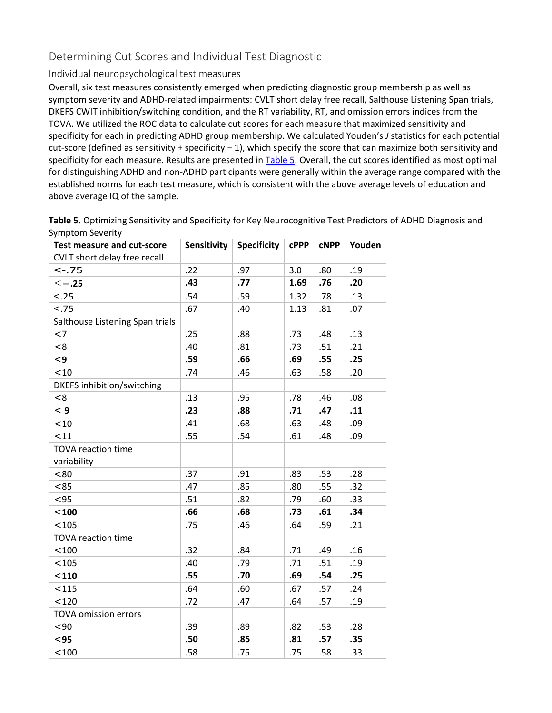#### Determining Cut Scores and Individual Test Diagnostic

#### Individual neuropsychological test measures

Overall, six test measures consistently emerged when predicting diagnostic group membership as well as symptom severity and ADHD-related impairments: CVLT short delay free recall, Salthouse Listening Span trials, DKEFS CWIT inhibition/switching condition, and the RT variability, RT, and omission errors indices from the TOVA. We utilized the ROC data to calculate cut scores for each measure that maximized sensitivity and specificity for each in predicting ADHD group membership. We calculated Youden's *J* statistics for each potential cut-score (defined as sensitivity + specificity − 1), which specify the score that can maximize both sensitivity and specificity for each measure. Results are presented i[n Table 5.](https://0-web-b-ebscohost-com.libus.csd.mu.edu/ehost/detail/detail?vid=3&sid=ba31a4a0-7759-4744-8a4b-f3a61b5b9fee%40pdc-v-sessmgr01&bdata=JnNpdGU9ZWhvc3QtbGl2ZQ%3d%3d#tbl5) Overall, the cut scores identified as most optimal for distinguishing ADHD and non-ADHD participants were generally within the average range compared with the established norms for each test measure, which is consistent with the above average levels of education and above average IQ of the sample.

**Table 5.** Optimizing Sensitivity and Specificity for Key Neurocognitive Test Predictors of ADHD Diagnosis and Symptom Severity

| <b>Test measure and cut-score</b> | Sensitivity | <b>Specificity</b> | <b>CPPP</b> | <b>CNPP</b> | Youden |
|-----------------------------------|-------------|--------------------|-------------|-------------|--------|
| CVLT short delay free recall      |             |                    |             |             |        |
| $< -.75$                          | .22         | .97                | 3.0         | .80         | .19    |
| $\leq -.25$                       | .43         | .77                | 1.69        | .76         | .20    |
| $-.25$                            | .54         | .59                | 1.32        | .78         | .13    |
| $-.75$                            | .67         | .40                | 1.13        | .81         | .07    |
| Salthouse Listening Span trials   |             |                    |             |             |        |
| $<$ 7                             | .25         | .88                | .73         | .48         | .13    |
| < 8                               | .40         | .81                | .73         | .51         | .21    |
| $\leq$ 9                          | .59         | .66                | .69         | .55         | .25    |
| < 10                              | .74         | .46                | .63         | .58         | .20    |
| <b>DKEFS</b> inhibition/switching |             |                    |             |             |        |
| < 8                               | .13         | .95                | .78         | .46         | .08    |
| $\leq 9$                          | .23         | .88                | .71         | .47         | .11    |
| < 10                              | .41         | .68                | .63         | .48         | .09    |
| < 11                              | .55         | .54                | .61         | .48         | .09    |
| <b>TOVA reaction time</b>         |             |                    |             |             |        |
| variability                       |             |                    |             |             |        |
| < 80                              | .37         | .91                | .83         | .53         | .28    |
| <85                               | .47         | .85                | .80         | .55         | .32    |
| $95$                              | .51         | .82                | .79         | .60         | .33    |
| $100$                             | .66         | .68                | .73         | .61         | .34    |
| < 105                             | .75         | .46                | .64         | .59         | .21    |
| <b>TOVA reaction time</b>         |             |                    |             |             |        |
| < 100                             | .32         | .84                | .71         | .49         | .16    |
| < 105                             | .40         | .79                | .71         | .51         | .19    |
| $110$                             | .55         | .70                | .69         | .54         | .25    |
| < 115                             | .64         | .60                | .67         | .57         | .24    |
| < 120                             | .72         | .47                | .64         | .57         | .19    |
| <b>TOVA omission errors</b>       |             |                    |             |             |        |
| $90$                              | .39         | .89                | .82         | .53         | .28    |
| $95$                              | .50         | .85                | .81         | .57         | .35    |
| < 100                             | .58         | .75                | .75         | .58         | .33    |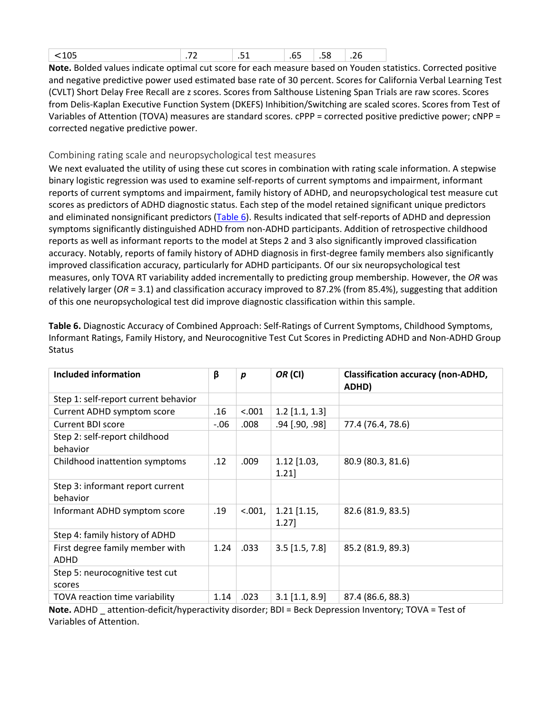|  |  | $\sim$ |  |  |  |  |
|--|--|--------|--|--|--|--|
|--|--|--------|--|--|--|--|

**Note.** Bolded values indicate optimal cut score for each measure based on Youden statistics. Corrected positive and negative predictive power used estimated base rate of 30 percent. Scores for California Verbal Learning Test (CVLT) Short Delay Free Recall are z scores. Scores from Salthouse Listening Span Trials are raw scores. Scores from Delis-Kaplan Executive Function System (DKEFS) Inhibition/Switching are scaled scores. Scores from Test of Variables of Attention (TOVA) measures are standard scores. cPPP = corrected positive predictive power; cNPP = corrected negative predictive power.

#### Combining rating scale and neuropsychological test measures

We next evaluated the utility of using these cut scores in combination with rating scale information. A stepwise binary logistic regression was used to examine self-reports of current symptoms and impairment, informant reports of current symptoms and impairment, family history of ADHD, and neuropsychological test measure cut scores as predictors of ADHD diagnostic status. Each step of the model retained significant unique predictors and eliminated nonsignificant predictors [\(Table 6\)](https://0-web-b-ebscohost-com.libus.csd.mu.edu/ehost/detail/detail?vid=3&sid=ba31a4a0-7759-4744-8a4b-f3a61b5b9fee%40pdc-v-sessmgr01&bdata=JnNpdGU9ZWhvc3QtbGl2ZQ%3d%3d#tbl6). Results indicated that self-reports of ADHD and depression symptoms significantly distinguished ADHD from non-ADHD participants. Addition of retrospective childhood reports as well as informant reports to the model at Steps 2 and 3 also significantly improved classification accuracy. Notably, reports of family history of ADHD diagnosis in first-degree family members also significantly improved classification accuracy, particularly for ADHD participants. Of our six neuropsychological test measures, only TOVA RT variability added incrementally to predicting group membership. However, the *OR* was relatively larger (*OR* = 3.1) and classification accuracy improved to 87.2% (from 85.4%), suggesting that addition of this one neuropsychological test did improve diagnostic classification within this sample.

| Included information                           | β       | p       | OR (CI)                   | <b>Classification accuracy (non-ADHD,</b><br>ADHD) |
|------------------------------------------------|---------|---------|---------------------------|----------------------------------------------------|
| Step 1: self-report current behavior           |         |         |                           |                                                    |
| Current ADHD symptom score                     | .16     | < .001  | $1.2$ [1.1, 1.3]          |                                                    |
| <b>Current BDI score</b>                       | $-0.06$ | .008    | $.94$ [.90, .98]          | 77.4 (76.4, 78.6)                                  |
| Step 2: self-report childhood<br>behavior      |         |         |                           |                                                    |
| Childhood inattention symptoms                 | .12     | .009    | $1.12$ [1.03,<br>1.21     | 80.9 (80.3, 81.6)                                  |
| Step 3: informant report current<br>behavior   |         |         |                           |                                                    |
| Informant ADHD symptom score                   | .19     | < .001, | $1.21$ [1.15,<br>$1.27$ ] | 82.6 (81.9, 83.5)                                  |
| Step 4: family history of ADHD                 |         |         |                           |                                                    |
| First degree family member with<br><b>ADHD</b> | 1.24    | .033    | $3.5$ [1.5, 7.8]          | 85.2 (81.9, 89.3)                                  |
| Step 5: neurocognitive test cut<br>scores      |         |         |                           |                                                    |
| TOVA reaction time variability                 | 1.14    | .023    | $3.1$ [1.1, 8.9]          | 87.4 (86.6, 88.3)                                  |

**Table 6.** Diagnostic Accuracy of Combined Approach: Self-Ratings of Current Symptoms, Childhood Symptoms, Informant Ratings, Family History, and Neurocognitive Test Cut Scores in Predicting ADHD and Non-ADHD Group Status

**Note.** ADHD attention-deficit/hyperactivity disorder; BDI = Beck Depression Inventory; TOVA = Test of Variables of Attention.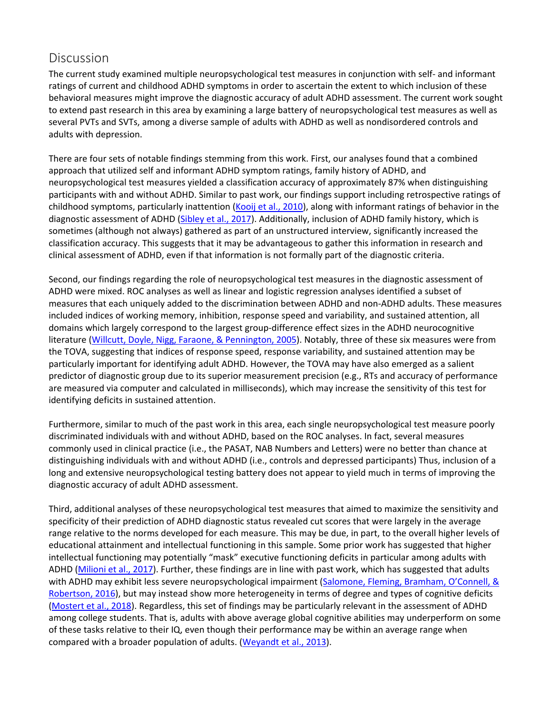# **Discussion**

The current study examined multiple neuropsychological test measures in conjunction with self- and informant ratings of current and childhood ADHD symptoms in order to ascertain the extent to which inclusion of these behavioral measures might improve the diagnostic accuracy of adult ADHD assessment. The current work sought to extend past research in this area by examining a large battery of neuropsychological test measures as well as several PVTs and SVTs, among a diverse sample of adults with ADHD as well as nondisordered controls and adults with depression.

There are four sets of notable findings stemming from this work. First, our analyses found that a combined approach that utilized self and informant ADHD symptom ratings, family history of ADHD, and neuropsychological test measures yielded a classification accuracy of approximately 87% when distinguishing participants with and without ADHD. Similar to past work, our findings support including retrospective ratings of childhood symptoms, particularly inattention [\(Kooij et al., 2010\)](https://0-web-b-ebscohost-com.libus.csd.mu.edu/ehost/detail/detail?vid=3&sid=ba31a4a0-7759-4744-8a4b-f3a61b5b9fee%40pdc-v-sessmgr01&bdata=JnNpdGU9ZWhvc3QtbGl2ZQ%3d%3d#c45), along with informant ratings of behavior in the diagnostic assessment of ADHD [\(Sibley et al., 2017\)](https://0-web-b-ebscohost-com.libus.csd.mu.edu/ehost/detail/detail?vid=3&sid=ba31a4a0-7759-4744-8a4b-f3a61b5b9fee%40pdc-v-sessmgr01&bdata=JnNpdGU9ZWhvc3QtbGl2ZQ%3d%3d#c69). Additionally, inclusion of ADHD family history, which is sometimes (although not always) gathered as part of an unstructured interview, significantly increased the classification accuracy. This suggests that it may be advantageous to gather this information in research and clinical assessment of ADHD, even if that information is not formally part of the diagnostic criteria.

Second, our findings regarding the role of neuropsychological test measures in the diagnostic assessment of ADHD were mixed. ROC analyses as well as linear and logistic regression analyses identified a subset of measures that each uniquely added to the discrimination between ADHD and non-ADHD adults. These measures included indices of working memory, inhibition, response speed and variability, and sustained attention, all domains which largely correspond to the largest group-difference effect sizes in the ADHD neurocognitive literature [\(Willcutt, Doyle, Nigg, Faraone, & Pennington, 2005\)](https://0-web-b-ebscohost-com.libus.csd.mu.edu/ehost/detail/detail?vid=3&sid=ba31a4a0-7759-4744-8a4b-f3a61b5b9fee%40pdc-v-sessmgr01&bdata=JnNpdGU9ZWhvc3QtbGl2ZQ%3d%3d#c82). Notably, three of these six measures were from the TOVA, suggesting that indices of response speed, response variability, and sustained attention may be particularly important for identifying adult ADHD. However, the TOVA may have also emerged as a salient predictor of diagnostic group due to its superior measurement precision (e.g., RTs and accuracy of performance are measured via computer and calculated in milliseconds), which may increase the sensitivity of this test for identifying deficits in sustained attention.

Furthermore, similar to much of the past work in this area, each single neuropsychological test measure poorly discriminated individuals with and without ADHD, based on the ROC analyses. In fact, several measures commonly used in clinical practice (i.e., the PASAT, NAB Numbers and Letters) were no better than chance at distinguishing individuals with and without ADHD (i.e., controls and depressed participants) Thus, inclusion of a long and extensive neuropsychological testing battery does not appear to yield much in terms of improving the diagnostic accuracy of adult ADHD assessment.

Third, additional analyses of these neuropsychological test measures that aimed to maximize the sensitivity and specificity of their prediction of ADHD diagnostic status revealed cut scores that were largely in the average range relative to the norms developed for each measure. This may be due, in part, to the overall higher levels of educational attainment and intellectual functioning in this sample. Some prior work has suggested that higher intellectual functioning may potentially "mask" executive functioning deficits in particular among adults with ADHD [\(Milioni et al., 2017\)](https://0-web-b-ebscohost-com.libus.csd.mu.edu/ehost/detail/detail?vid=3&sid=ba31a4a0-7759-4744-8a4b-f3a61b5b9fee%40pdc-v-sessmgr01&bdata=JnNpdGU9ZWhvc3QtbGl2ZQ%3d%3d#c51). Further, these findings are in line with past work, which has suggested that adults with ADHD may exhibit less severe neuropsychological impairment [\(Salomone, Fleming, Bramham, O'Connell, &](https://0-web-b-ebscohost-com.libus.csd.mu.edu/ehost/detail/detail?vid=3&sid=ba31a4a0-7759-4744-8a4b-f3a61b5b9fee%40pdc-v-sessmgr01&bdata=JnNpdGU9ZWhvc3QtbGl2ZQ%3d%3d#c66)  [Robertson, 2016\)](https://0-web-b-ebscohost-com.libus.csd.mu.edu/ehost/detail/detail?vid=3&sid=ba31a4a0-7759-4744-8a4b-f3a61b5b9fee%40pdc-v-sessmgr01&bdata=JnNpdGU9ZWhvc3QtbGl2ZQ%3d%3d#c66), but may instead show more heterogeneity in terms of degree and types of cognitive deficits [\(Mostert et al., 2018\)](https://0-web-b-ebscohost-com.libus.csd.mu.edu/ehost/detail/detail?vid=3&sid=ba31a4a0-7759-4744-8a4b-f3a61b5b9fee%40pdc-v-sessmgr01&bdata=JnNpdGU9ZWhvc3QtbGl2ZQ%3d%3d#c53). Regardless, this set of findings may be particularly relevant in the assessment of ADHD among college students. That is, adults with above average global cognitive abilities may underperform on some of these tasks relative to their IQ, even though their performance may be within an average range when compared with a broader population of adults. [\(Weyandt et al., 2013\)](https://0-web-b-ebscohost-com.libus.csd.mu.edu/ehost/detail/detail?vid=3&sid=ba31a4a0-7759-4744-8a4b-f3a61b5b9fee%40pdc-v-sessmgr01&bdata=JnNpdGU9ZWhvc3QtbGl2ZQ%3d%3d#c209).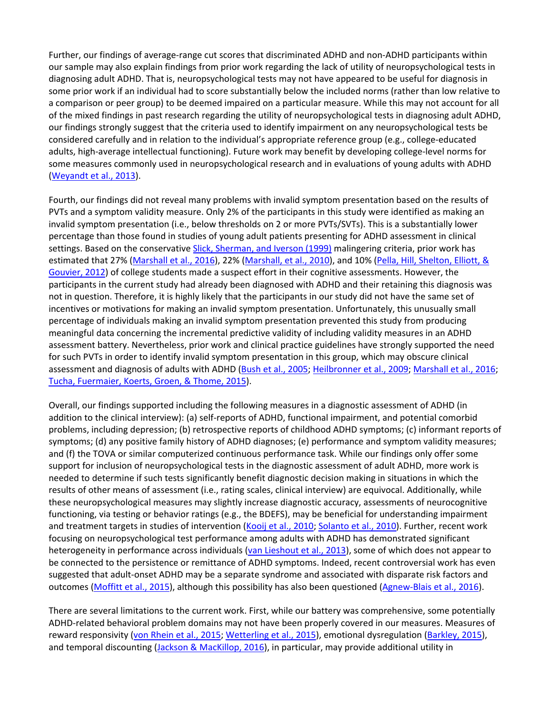Further, our findings of average-range cut scores that discriminated ADHD and non-ADHD participants within our sample may also explain findings from prior work regarding the lack of utility of neuropsychological tests in diagnosing adult ADHD. That is, neuropsychological tests may not have appeared to be useful for diagnosis in some prior work if an individual had to score substantially below the included norms (rather than low relative to a comparison or peer group) to be deemed impaired on a particular measure. While this may not account for all of the mixed findings in past research regarding the utility of neuropsychological tests in diagnosing adult ADHD, our findings strongly suggest that the criteria used to identify impairment on any neuropsychological tests be considered carefully and in relation to the individual's appropriate reference group (e.g., college-educated adults, high-average intellectual functioning). Future work may benefit by developing college-level norms for some measures commonly used in neuropsychological research and in evaluations of young adults with ADHD [\(Weyandt et al., 2013\)](https://0-web-b-ebscohost-com.libus.csd.mu.edu/ehost/detail/detail?vid=3&sid=ba31a4a0-7759-4744-8a4b-f3a61b5b9fee%40pdc-v-sessmgr01&bdata=JnNpdGU9ZWhvc3QtbGl2ZQ%3d%3d#c209).

Fourth, our findings did not reveal many problems with invalid symptom presentation based on the results of PVTs and a symptom validity measure. Only 2% of the participants in this study were identified as making an invalid symptom presentation (i.e., below thresholds on 2 or more PVTs/SVTs). This is a substantially lower percentage than those found in studies of young adult patients presenting for ADHD assessment in clinical settings. Based on the conservative [Slick, Sherman, and Iverson \(1999\)](https://0-web-b-ebscohost-com.libus.csd.mu.edu/ehost/detail/detail?vid=3&sid=ba31a4a0-7759-4744-8a4b-f3a61b5b9fee%40pdc-v-sessmgr01&bdata=JnNpdGU9ZWhvc3QtbGl2ZQ%3d%3d#c206) malingering criteria, prior work has estimated that 27% [\(Marshall et al., 2016\)](https://0-web-b-ebscohost-com.libus.csd.mu.edu/ehost/detail/detail?vid=3&sid=ba31a4a0-7759-4744-8a4b-f3a61b5b9fee%40pdc-v-sessmgr01&bdata=JnNpdGU9ZWhvc3QtbGl2ZQ%3d%3d#c48), 22% [\(Marshall, et al., 2010\)](https://0-web-b-ebscohost-com.libus.csd.mu.edu/ehost/detail/detail?vid=3&sid=ba31a4a0-7759-4744-8a4b-f3a61b5b9fee%40pdc-v-sessmgr01&bdata=JnNpdGU9ZWhvc3QtbGl2ZQ%3d%3d#c49), and 10% [\(Pella, Hill, Shelton, Elliott, &](https://0-web-b-ebscohost-com.libus.csd.mu.edu/ehost/detail/detail?vid=3&sid=ba31a4a0-7759-4744-8a4b-f3a61b5b9fee%40pdc-v-sessmgr01&bdata=JnNpdGU9ZWhvc3QtbGl2ZQ%3d%3d#c59)  [Gouvier, 2012\)](https://0-web-b-ebscohost-com.libus.csd.mu.edu/ehost/detail/detail?vid=3&sid=ba31a4a0-7759-4744-8a4b-f3a61b5b9fee%40pdc-v-sessmgr01&bdata=JnNpdGU9ZWhvc3QtbGl2ZQ%3d%3d#c59) of college students made a suspect effort in their cognitive assessments. However, the participants in the current study had already been diagnosed with ADHD and their retaining this diagnosis was not in question. Therefore, it is highly likely that the participants in our study did not have the same set of incentives or motivations for making an invalid symptom presentation. Unfortunately, this unusually small percentage of individuals making an invalid symptom presentation prevented this study from producing meaningful data concerning the incremental predictive validity of including validity measures in an ADHD assessment battery. Nevertheless, prior work and clinical practice guidelines have strongly supported the need for such PVTs in order to identify invalid symptom presentation in this group, which may obscure clinical assessment and diagnosis of adults with ADHD [\(Bush et al., 2005;](https://0-web-b-ebscohost-com.libus.csd.mu.edu/ehost/detail/detail?vid=3&sid=ba31a4a0-7759-4744-8a4b-f3a61b5b9fee%40pdc-v-sessmgr01&bdata=JnNpdGU9ZWhvc3QtbGl2ZQ%3d%3d#c21) [Heilbronner et al., 2009;](https://0-web-b-ebscohost-com.libus.csd.mu.edu/ehost/detail/detail?vid=3&sid=ba31a4a0-7759-4744-8a4b-f3a61b5b9fee%40pdc-v-sessmgr01&bdata=JnNpdGU9ZWhvc3QtbGl2ZQ%3d%3d#c36) [Marshall et al., 2016;](https://0-web-b-ebscohost-com.libus.csd.mu.edu/ehost/detail/detail?vid=3&sid=ba31a4a0-7759-4744-8a4b-f3a61b5b9fee%40pdc-v-sessmgr01&bdata=JnNpdGU9ZWhvc3QtbGl2ZQ%3d%3d#c48) [Tucha, Fuermaier, Koerts, Groen, & Thome, 2015\)](https://0-web-b-ebscohost-com.libus.csd.mu.edu/ehost/detail/detail?vid=3&sid=ba31a4a0-7759-4744-8a4b-f3a61b5b9fee%40pdc-v-sessmgr01&bdata=JnNpdGU9ZWhvc3QtbGl2ZQ%3d%3d#c207).

Overall, our findings supported including the following measures in a diagnostic assessment of ADHD (in addition to the clinical interview): (a) self-reports of ADHD, functional impairment, and potential comorbid problems, including depression; (b) retrospective reports of childhood ADHD symptoms; (c) informant reports of symptoms; (d) any positive family history of ADHD diagnoses; (e) performance and symptom validity measures; and (f) the TOVA or similar computerized continuous performance task. While our findings only offer some support for inclusion of neuropsychological tests in the diagnostic assessment of adult ADHD, more work is needed to determine if such tests significantly benefit diagnostic decision making in situations in which the results of other means of assessment (i.e., rating scales, clinical interview) are equivocal. Additionally, while these neuropsychological measures may slightly increase diagnostic accuracy, assessments of neurocognitive functioning, via testing or behavior ratings (e.g., the BDEFS), may be beneficial for understanding impairment and treatment targets in studies of intervention [\(Kooij et al., 2010;](https://0-web-b-ebscohost-com.libus.csd.mu.edu/ehost/detail/detail?vid=3&sid=ba31a4a0-7759-4744-8a4b-f3a61b5b9fee%40pdc-v-sessmgr01&bdata=JnNpdGU9ZWhvc3QtbGl2ZQ%3d%3d#c45) [Solanto et al., 2010\)](https://0-web-b-ebscohost-com.libus.csd.mu.edu/ehost/detail/detail?vid=3&sid=ba31a4a0-7759-4744-8a4b-f3a61b5b9fee%40pdc-v-sessmgr01&bdata=JnNpdGU9ZWhvc3QtbGl2ZQ%3d%3d#c70). Further, recent work focusing on neuropsychological test performance among adults with ADHD has demonstrated significant heterogeneity in performance across individuals [\(van Lieshout et al., 2013\)](https://0-web-b-ebscohost-com.libus.csd.mu.edu/ehost/detail/detail?vid=3&sid=ba31a4a0-7759-4744-8a4b-f3a61b5b9fee%40pdc-v-sessmgr01&bdata=JnNpdGU9ZWhvc3QtbGl2ZQ%3d%3d#c73), some of which does not appear to be connected to the persistence or remittance of ADHD symptoms. Indeed, recent controversial work has even suggested that adult-onset ADHD may be a separate syndrome and associated with disparate risk factors and outcomes [\(Moffitt et al., 2015\)](https://0-web-b-ebscohost-com.libus.csd.mu.edu/ehost/detail/detail?vid=3&sid=ba31a4a0-7759-4744-8a4b-f3a61b5b9fee%40pdc-v-sessmgr01&bdata=JnNpdGU9ZWhvc3QtbGl2ZQ%3d%3d#c52), although this possibility has also been questioned [\(Agnew-Blais et al., 2016\)](https://0-web-b-ebscohost-com.libus.csd.mu.edu/ehost/detail/detail?vid=3&sid=ba31a4a0-7759-4744-8a4b-f3a61b5b9fee%40pdc-v-sessmgr01&bdata=JnNpdGU9ZWhvc3QtbGl2ZQ%3d%3d#c2).

There are several limitations to the current work. First, while our battery was comprehensive, some potentially ADHD-related behavioral problem domains may not have been properly covered in our measures. Measures of reward responsivity [\(von Rhein et al., 2015;](https://0-web-b-ebscohost-com.libus.csd.mu.edu/ehost/detail/detail?vid=3&sid=ba31a4a0-7759-4744-8a4b-f3a61b5b9fee%40pdc-v-sessmgr01&bdata=JnNpdGU9ZWhvc3QtbGl2ZQ%3d%3d#c76) [Wetterling et al., 2015\)](https://0-web-b-ebscohost-com.libus.csd.mu.edu/ehost/detail/detail?vid=3&sid=ba31a4a0-7759-4744-8a4b-f3a61b5b9fee%40pdc-v-sessmgr01&bdata=JnNpdGU9ZWhvc3QtbGl2ZQ%3d%3d#c79), emotional dysregulation [\(Barkley, 2015\)](https://0-web-b-ebscohost-com.libus.csd.mu.edu/ehost/detail/detail?vid=3&sid=ba31a4a0-7759-4744-8a4b-f3a61b5b9fee%40pdc-v-sessmgr01&bdata=JnNpdGU9ZWhvc3QtbGl2ZQ%3d%3d#c11), and temporal discounting [\(Jackson & MacKillop, 2016\)](https://0-web-b-ebscohost-com.libus.csd.mu.edu/ehost/detail/detail?vid=3&sid=ba31a4a0-7759-4744-8a4b-f3a61b5b9fee%40pdc-v-sessmgr01&bdata=JnNpdGU9ZWhvc3QtbGl2ZQ%3d%3d#c38), in particular, may provide additional utility in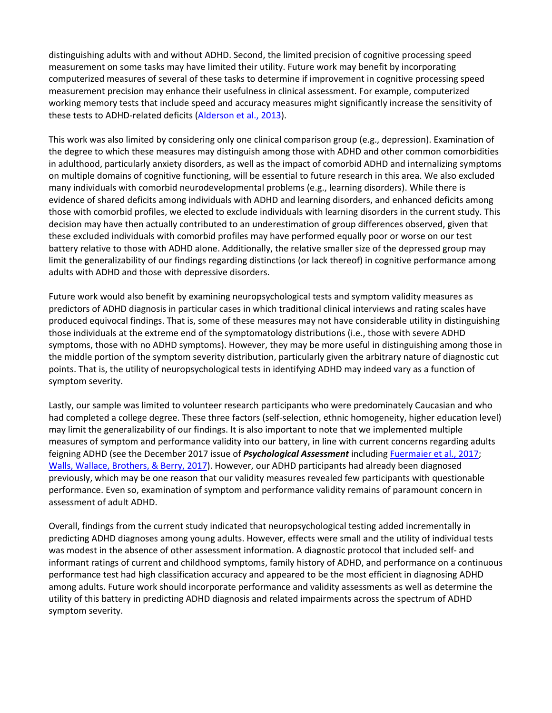distinguishing adults with and without ADHD. Second, the limited precision of cognitive processing speed measurement on some tasks may have limited their utility. Future work may benefit by incorporating computerized measures of several of these tasks to determine if improvement in cognitive processing speed measurement precision may enhance their usefulness in clinical assessment. For example, computerized working memory tests that include speed and accuracy measures might significantly increase the sensitivity of these tests to ADHD-related deficits [\(Alderson et al., 2013\)](https://0-web-b-ebscohost-com.libus.csd.mu.edu/ehost/detail/detail?vid=3&sid=ba31a4a0-7759-4744-8a4b-f3a61b5b9fee%40pdc-v-sessmgr01&bdata=JnNpdGU9ZWhvc3QtbGl2ZQ%3d%3d#c3).

This work was also limited by considering only one clinical comparison group (e.g., depression). Examination of the degree to which these measures may distinguish among those with ADHD and other common comorbidities in adulthood, particularly anxiety disorders, as well as the impact of comorbid ADHD and internalizing symptoms on multiple domains of cognitive functioning, will be essential to future research in this area. We also excluded many individuals with comorbid neurodevelopmental problems (e.g., learning disorders). While there is evidence of shared deficits among individuals with ADHD and learning disorders, and enhanced deficits among those with comorbid profiles, we elected to exclude individuals with learning disorders in the current study. This decision may have then actually contributed to an underestimation of group differences observed, given that these excluded individuals with comorbid profiles may have performed equally poor or worse on our test battery relative to those with ADHD alone. Additionally, the relative smaller size of the depressed group may limit the generalizability of our findings regarding distinctions (or lack thereof) in cognitive performance among adults with ADHD and those with depressive disorders.

Future work would also benefit by examining neuropsychological tests and symptom validity measures as predictors of ADHD diagnosis in particular cases in which traditional clinical interviews and rating scales have produced equivocal findings. That is, some of these measures may not have considerable utility in distinguishing those individuals at the extreme end of the symptomatology distributions (i.e., those with severe ADHD symptoms, those with no ADHD symptoms). However, they may be more useful in distinguishing among those in the middle portion of the symptom severity distribution, particularly given the arbitrary nature of diagnostic cut points. That is, the utility of neuropsychological tests in identifying ADHD may indeed vary as a function of symptom severity.

Lastly, our sample was limited to volunteer research participants who were predominately Caucasian and who had completed a college degree. These three factors (self-selection, ethnic homogeneity, higher education level) may limit the generalizability of our findings. It is also important to note that we implemented multiple measures of symptom and performance validity into our battery, in line with current concerns regarding adults feigning ADHD (see the December 2017 issue of *Psychological Assessment* including [Fuermaier et al., 2017;](https://0-web-b-ebscohost-com.libus.csd.mu.edu/ehost/detail/detail?vid=3&sid=ba31a4a0-7759-4744-8a4b-f3a61b5b9fee%40pdc-v-sessmgr01&bdata=JnNpdGU9ZWhvc3QtbGl2ZQ%3d%3d#c204) [Walls, Wallace, Brothers, & Berry, 2017\)](https://0-web-b-ebscohost-com.libus.csd.mu.edu/ehost/detail/detail?vid=3&sid=ba31a4a0-7759-4744-8a4b-f3a61b5b9fee%40pdc-v-sessmgr01&bdata=JnNpdGU9ZWhvc3QtbGl2ZQ%3d%3d#c208). However, our ADHD participants had already been diagnosed previously, which may be one reason that our validity measures revealed few participants with questionable performance. Even so, examination of symptom and performance validity remains of paramount concern in assessment of adult ADHD.

Overall, findings from the current study indicated that neuropsychological testing added incrementally in predicting ADHD diagnoses among young adults. However, effects were small and the utility of individual tests was modest in the absence of other assessment information. A diagnostic protocol that included self- and informant ratings of current and childhood symptoms, family history of ADHD, and performance on a continuous performance test had high classification accuracy and appeared to be the most efficient in diagnosing ADHD among adults. Future work should incorporate performance and validity assessments as well as determine the utility of this battery in predicting ADHD diagnosis and related impairments across the spectrum of ADHD symptom severity.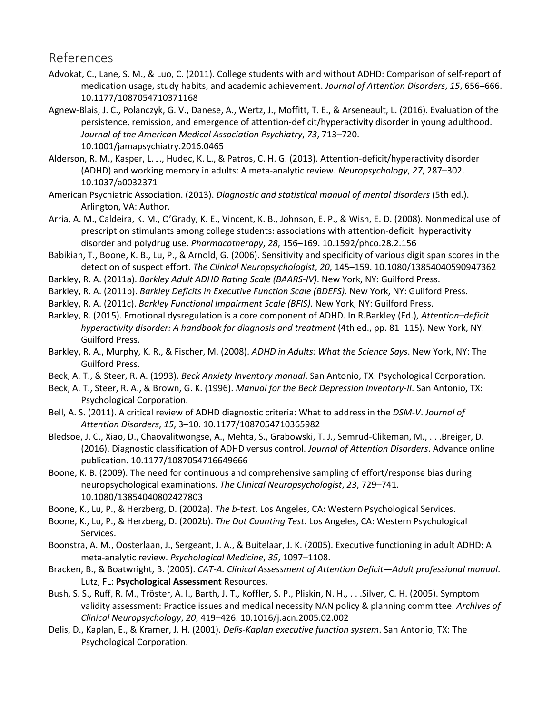#### References

- Advokat, C., Lane, S. M., & Luo, C. (2011). College students with and without ADHD: Comparison of self-report of medication usage, study habits, and academic achievement. *Journal of Attention Disorders*, *15*, 656–666. 10.1177/1087054710371168
- Agnew-Blais, J. C., Polanczyk, G. V., Danese, A., Wertz, J., Moffitt, T. E., & Arseneault, L. (2016). Evaluation of the persistence, remission, and emergence of attention-deficit/hyperactivity disorder in young adulthood. *Journal of the American Medical Association Psychiatry*, *73*, 713–720. 10.1001/jamapsychiatry.2016.0465
- Alderson, R. M., Kasper, L. J., Hudec, K. L., & Patros, C. H. G. (2013). Attention-deficit/hyperactivity disorder (ADHD) and working memory in adults: A meta-analytic review. *Neuropsychology*, *27*, 287–302. 10.1037/a0032371
- American Psychiatric Association. (2013). *Diagnostic and statistical manual of mental disorders* (5th ed.). Arlington, VA: Author.
- Arria, A. M., Caldeira, K. M., O'Grady, K. E., Vincent, K. B., Johnson, E. P., & Wish, E. D. (2008). Nonmedical use of prescription stimulants among college students: associations with attention-deficit–hyperactivity disorder and polydrug use. *Pharmacotherapy*, *28*, 156–169. 10.1592/phco.28.2.156
- Babikian, T., Boone, K. B., Lu, P., & Arnold, G. (2006). Sensitivity and specificity of various digit span scores in the detection of suspect effort. *The Clinical Neuropsychologist*, *20*, 145–159. 10.1080/13854040590947362
- Barkley, R. A. (2011a). *Barkley Adult ADHD Rating Scale (BAARS-IV)*. New York, NY: Guilford Press.
- Barkley, R. A. (2011b). *Barkley Deficits in Executive Function Scale (BDEFS)*. New York, NY: Guilford Press.
- Barkley, R. A. (2011c). *Barkley Functional Impairment Scale (BFIS)*. New York, NY: Guilford Press.
- Barkley, R. (2015). Emotional dysregulation is a core component of ADHD. In R.Barkley (Ed.), *Attention–deficit hyperactivity disorder: A handbook for diagnosis and treatment* (4th ed., pp. 81–115). New York, NY: Guilford Press.
- Barkley, R. A., Murphy, K. R., & Fischer, M. (2008). *ADHD in Adults: What the Science Says*. New York, NY: The Guilford Press.
- Beck, A. T., & Steer, R. A. (1993). *Beck Anxiety Inventory manual*. San Antonio, TX: Psychological Corporation.
- Beck, A. T., Steer, R. A., & Brown, G. K. (1996). *Manual for the Beck Depression Inventory-II*. San Antonio, TX: Psychological Corporation.
- Bell, A. S. (2011). A critical review of ADHD diagnostic criteria: What to address in the *DSM-V*. *Journal of Attention Disorders*, *15*, 3–10. 10.1177/1087054710365982
- Bledsoe, J. C., Xiao, D., Chaovalitwongse, A., Mehta, S., Grabowski, T. J., Semrud-Clikeman, M., . . .Breiger, D. (2016). Diagnostic classification of ADHD versus control. *Journal of Attention Disorders*. Advance online publication. 10.1177/1087054716649666
- Boone, K. B. (2009). The need for continuous and comprehensive sampling of effort/response bias during neuropsychological examinations. *The Clinical Neuropsychologist*, *23*, 729–741. 10.1080/13854040802427803
- Boone, K., Lu, P., & Herzberg, D. (2002a). *The b-test*. Los Angeles, CA: Western Psychological Services.
- Boone, K., Lu, P., & Herzberg, D. (2002b). *The Dot Counting Test*. Los Angeles, CA: Western Psychological Services.
- Boonstra, A. M., Oosterlaan, J., Sergeant, J. A., & Buitelaar, J. K. (2005). Executive functioning in adult ADHD: A meta-analytic review. *Psychological Medicine*, *35*, 1097–1108.
- Bracken, B., & Boatwright, B. (2005). *CAT-A. Clinical Assessment of Attention Deficit—Adult professional manual*. Lutz, FL: **Psychological Assessment** Resources.
- Bush, S. S., Ruff, R. M., Tröster, A. I., Barth, J. T., Koffler, S. P., Pliskin, N. H., . . .Silver, C. H. (2005). Symptom validity assessment: Practice issues and medical necessity NAN policy & planning committee. *Archives of Clinical Neuropsychology*, *20*, 419–426. 10.1016/j.acn.2005.02.002
- Delis, D., Kaplan, E., & Kramer, J. H. (2001). *Delis-Kaplan executive function system*. San Antonio, TX: The Psychological Corporation.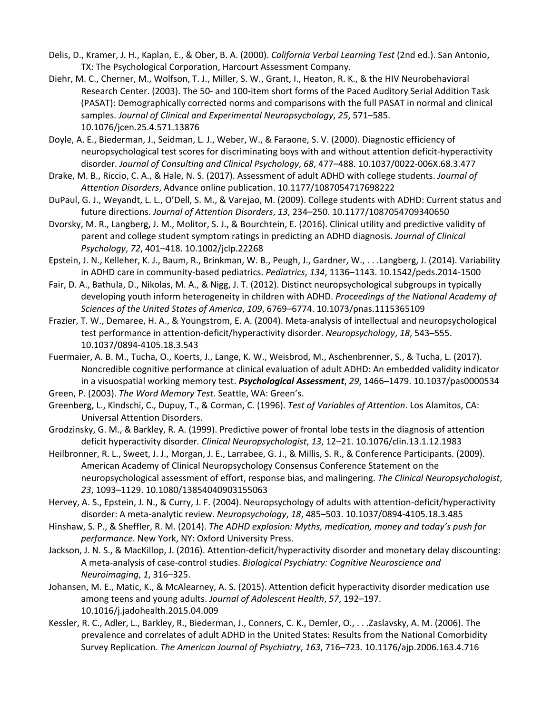- Delis, D., Kramer, J. H., Kaplan, E., & Ober, B. A. (2000). *California Verbal Learning Test* (2nd ed.). San Antonio, TX: The Psychological Corporation, Harcourt Assessment Company.
- Diehr, M. C., Cherner, M., Wolfson, T. J., Miller, S. W., Grant, I., Heaton, R. K., & the HIV Neurobehavioral Research Center. (2003). The 50- and 100-item short forms of the Paced Auditory Serial Addition Task (PASAT): Demographically corrected norms and comparisons with the full PASAT in normal and clinical samples. *Journal of Clinical and Experimental Neuropsychology*, *25*, 571–585. 10.1076/jcen.25.4.571.13876
- Doyle, A. E., Biederman, J., Seidman, L. J., Weber, W., & Faraone, S. V. (2000). Diagnostic efficiency of neuropsychological test scores for discriminating boys with and without attention deficit-hyperactivity disorder. *Journal of Consulting and Clinical Psychology*, *68*, 477–488. 10.1037/0022-006X.68.3.477
- Drake, M. B., Riccio, C. A., & Hale, N. S. (2017). Assessment of adult ADHD with college students. *Journal of Attention Disorders*, Advance online publication. 10.1177/1087054717698222
- DuPaul, G. J., Weyandt, L. L., O'Dell, S. M., & Varejao, M. (2009). College students with ADHD: Current status and future directions. *Journal of Attention Disorders*, *13*, 234–250. 10.1177/1087054709340650
- Dvorsky, M. R., Langberg, J. M., Molitor, S. J., & Bourchtein, E. (2016). Clinical utility and predictive validity of parent and college student symptom ratings in predicting an ADHD diagnosis. *Journal of Clinical Psychology*, *72*, 401–418. 10.1002/jclp.22268
- Epstein, J. N., Kelleher, K. J., Baum, R., Brinkman, W. B., Peugh, J., Gardner, W., . . .Langberg, J. (2014). Variability in ADHD care in community-based pediatrics. *Pediatrics*, *134*, 1136–1143. 10.1542/peds.2014-1500
- Fair, D. A., Bathula, D., Nikolas, M. A., & Nigg, J. T. (2012). Distinct neuropsychological subgroups in typically developing youth inform heterogeneity in children with ADHD. *Proceedings of the National Academy of Sciences of the United States of America*, *109*, 6769–6774. 10.1073/pnas.1115365109
- Frazier, T. W., Demaree, H. A., & Youngstrom, E. A. (2004). Meta-analysis of intellectual and neuropsychological test performance in attention-deficit/hyperactivity disorder. *Neuropsychology*, *18*, 543–555. 10.1037/0894-4105.18.3.543
- Fuermaier, A. B. M., Tucha, O., Koerts, J., Lange, K. W., Weisbrod, M., Aschenbrenner, S., & Tucha, L. (2017). Noncredible cognitive performance at clinical evaluation of adult ADHD: An embedded validity indicator in a visuospatial working memory test. *Psychological Assessment*, *29*, 1466–1479. 10.1037/pas0000534
- Green, P. (2003). *The Word Memory Test*. Seattle, WA: Green's.
- Greenberg, L., Kindschi, C., Dupuy, T., & Corman, C. (1996). *Test of Variables of Attention*. Los Alamitos, CA: Universal Attention Disorders.
- Grodzinsky, G. M., & Barkley, R. A. (1999). Predictive power of frontal lobe tests in the diagnosis of attention deficit hyperactivity disorder. *Clinical Neuropsychologist*, *13*, 12–21. 10.1076/clin.13.1.12.1983
- Heilbronner, R. L., Sweet, J. J., Morgan, J. E., Larrabee, G. J., & Millis, S. R., & Conference Participants. (2009). American Academy of Clinical Neuropsychology Consensus Conference Statement on the neuropsychological assessment of effort, response bias, and malingering. *The Clinical Neuropsychologist*, *23*, 1093–1129. 10.1080/13854040903155063
- Hervey, A. S., Epstein, J. N., & Curry, J. F. (2004). Neuropsychology of adults with attention-deficit/hyperactivity disorder: A meta-analytic review. *Neuropsychology*, *18*, 485–503. 10.1037/0894-4105.18.3.485
- Hinshaw, S. P., & Sheffler, R. M. (2014). *The ADHD explosion: Myths, medication, money and today's push for performance*. New York, NY: Oxford University Press.
- Jackson, J. N. S., & MacKillop, J. (2016). Attention-deficit/hyperactivity disorder and monetary delay discounting: A meta-analysis of case-control studies. *Biological Psychiatry: Cognitive Neuroscience and Neuroimaging*, *1*, 316–325.
- Johansen, M. E., Matic, K., & McAlearney, A. S. (2015). Attention deficit hyperactivity disorder medication use among teens and young adults. *Journal of Adolescent Health*, *57*, 192–197. 10.1016/j.jadohealth.2015.04.009
- Kessler, R. C., Adler, L., Barkley, R., Biederman, J., Conners, C. K., Demler, O., . . .Zaslavsky, A. M. (2006). The prevalence and correlates of adult ADHD in the United States: Results from the National Comorbidity Survey Replication. *The American Journal of Psychiatry*, *163*, 716–723. 10.1176/ajp.2006.163.4.716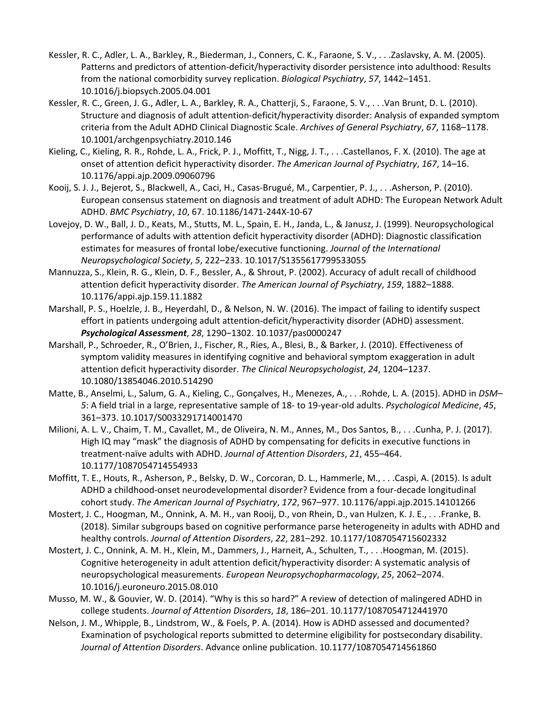- Kessler, R. C., Adler, L. A., Barkley, R., Biederman, J., Conners, C. K., Faraone, S. V., . . .Zaslavsky, A. M. (2005). Patterns and predictors of attention-deficit/hyperactivity disorder persistence into adulthood: Results from the national comorbidity survey replication. *Biological Psychiatry*, *57*, 1442–1451. 10.1016/j.biopsych.2005.04.001
- Kessler, R. C., Green, J. G., Adler, L. A., Barkley, R. A., Chatterji, S., Faraone, S. V., . . .Van Brunt, D. L. (2010). Structure and diagnosis of adult attention-deficit/hyperactivity disorder: Analysis of expanded symptom criteria from the Adult ADHD Clinical Diagnostic Scale. *Archives of General Psychiatry*, *67*, 1168–1178. 10.1001/archgenpsychiatry.2010.146
- Kieling, C., Kieling, R. R., Rohde, L. A., Frick, P. J., Moffitt, T., Nigg, J. T., . . .Castellanos, F. X. (2010). The age at onset of attention deficit hyperactivity disorder. *The American Journal of Psychiatry*, *167*, 14–16. 10.1176/appi.ajp.2009.09060796
- Kooij, S. J. J., Bejerot, S., Blackwell, A., Caci, H., Casas-Brugué, M., Carpentier, P. J., . . .Asherson, P. (2010). European consensus statement on diagnosis and treatment of adult ADHD: The European Network Adult ADHD. *BMC Psychiatry*, *10*, 67. 10.1186/1471-244X-10-67
- Lovejoy, D. W., Ball, J. D., Keats, M., Stutts, M. L., Spain, E. H., Janda, L., & Janusz, J. (1999). Neuropsychological performance of adults with attention deficit hyperactivity disorder (ADHD): Diagnostic classification estimates for measures of frontal lobe/executive functioning. *Journal of the International Neuropsychological Society*, *5*, 222–233. 10.1017/S1355617799533055
- Mannuzza, S., Klein, R. G., Klein, D. F., Bessler, A., & Shrout, P. (2002). Accuracy of adult recall of childhood attention deficit hyperactivity disorder. *The American Journal of Psychiatry*, *159*, 1882–1888. 10.1176/appi.ajp.159.11.1882
- Marshall, P. S., Hoelzle, J. B., Heyerdahl, D., & Nelson, N. W. (2016). The impact of failing to identify suspect effort in patients undergoing adult attention-deficit/hyperactivity disorder (ADHD) assessment. *Psychological Assessment*, *28*, 1290–1302. 10.1037/pas0000247
- Marshall, P., Schroeder, R., O'Brien, J., Fischer, R., Ries, A., Blesi, B., & Barker, J. (2010). Effectiveness of symptom validity measures in identifying cognitive and behavioral symptom exaggeration in adult attention deficit hyperactivity disorder. *The Clinical Neuropsychologist*, *24*, 1204–1237. 10.1080/13854046.2010.514290
- Matte, B., Anselmi, L., Salum, G. A., Kieling, C., Gonçalves, H., Menezes, A., . . .Rohde, L. A. (2015). ADHD in *DSM– 5*: A field trial in a large, representative sample of 18- to 19-year-old adults. *Psychological Medicine*, *45*, 361–373. 10.1017/S0033291714001470
- Milioni, A. L. V., Chaim, T. M., Cavallet, M., de Oliveira, N. M., Annes, M., Dos Santos, B., . . .Cunha, P. J. (2017). High IQ may "mask" the diagnosis of ADHD by compensating for deficits in executive functions in treatment-naïve adults with ADHD. *Journal of Attention Disorders*, *21*, 455–464. 10.1177/1087054714554933
- Moffitt, T. E., Houts, R., Asherson, P., Belsky, D. W., Corcoran, D. L., Hammerle, M., . . .Caspi, A. (2015). Is adult ADHD a childhood-onset neurodevelopmental disorder? Evidence from a four-decade longitudinal cohort study. *The American Journal of Psychiatry*, *172*, 967–977. 10.1176/appi.ajp.2015.14101266
- Mostert, J. C., Hoogman, M., Onnink, A. M. H., van Rooij, D., von Rhein, D., van Hulzen, K. J. E., . . .Franke, B. (2018). Similar subgroups based on cognitive performance parse heterogeneity in adults with ADHD and healthy controls. *Journal of Attention Disorders*, *22*, 281–292. 10.1177/1087054715602332
- Mostert, J. C., Onnink, A. M. H., Klein, M., Dammers, J., Harneit, A., Schulten, T., . . .Hoogman, M. (2015). Cognitive heterogeneity in adult attention deficit/hyperactivity disorder: A systematic analysis of neuropsychological measurements. *European Neuropsychopharmacology*, *25*, 2062–2074. 10.1016/j.euroneuro.2015.08.010
- Musso, M. W., & Gouvier, W. D. (2014). "Why is this so hard?" A review of detection of malingered ADHD in college students. *Journal of Attention Disorders*, *18*, 186–201. 10.1177/1087054712441970
- Nelson, J. M., Whipple, B., Lindstrom, W., & Foels, P. A. (2014). How is ADHD assessed and documented? Examination of psychological reports submitted to determine eligibility for postsecondary disability. *Journal of Attention Disorders*. Advance online publication. 10.1177/1087054714561860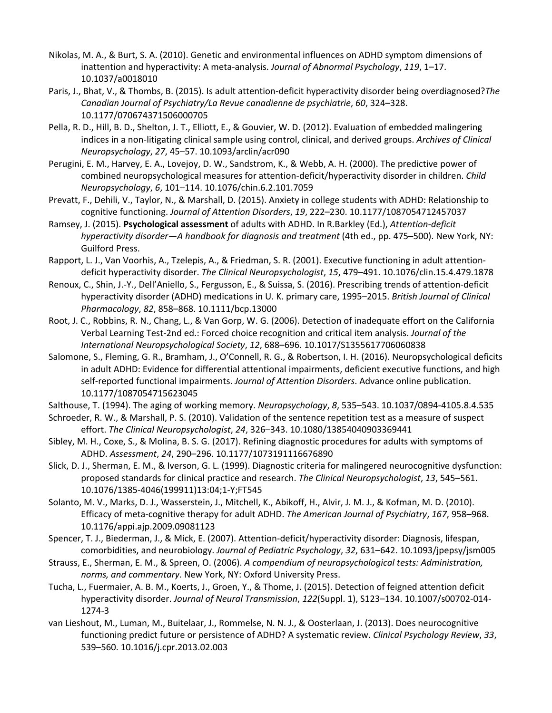- Nikolas, M. A., & Burt, S. A. (2010). Genetic and environmental influences on ADHD symptom dimensions of inattention and hyperactivity: A meta-analysis. *Journal of Abnormal Psychology*, *119*, 1–17. 10.1037/a0018010
- Paris, J., Bhat, V., & Thombs, B. (2015). Is adult attention-deficit hyperactivity disorder being overdiagnosed?*The Canadian Journal of Psychiatry/La Revue canadienne de psychiatrie*, *60*, 324–328. 10.1177/070674371506000705
- Pella, R. D., Hill, B. D., Shelton, J. T., Elliott, E., & Gouvier, W. D. (2012). Evaluation of embedded malingering indices in a non-litigating clinical sample using control, clinical, and derived groups. *Archives of Clinical Neuropsychology*, *27*, 45–57. 10.1093/arclin/acr090
- Perugini, E. M., Harvey, E. A., Lovejoy, D. W., Sandstrom, K., & Webb, A. H. (2000). The predictive power of combined neuropsychological measures for attention-deficit/hyperactivity disorder in children. *Child Neuropsychology*, *6*, 101–114. 10.1076/chin.6.2.101.7059
- Prevatt, F., Dehili, V., Taylor, N., & Marshall, D. (2015). Anxiety in college students with ADHD: Relationship to cognitive functioning. *Journal of Attention Disorders*, *19*, 222–230. 10.1177/1087054712457037
- Ramsey, J. (2015). **Psychological assessment** of adults with ADHD. In R.Barkley (Ed.), *Attention-deficit hyperactivity disorder—A handbook for diagnosis and treatment* (4th ed., pp. 475–500). New York, NY: Guilford Press.
- Rapport, L. J., Van Voorhis, A., Tzelepis, A., & Friedman, S. R. (2001). Executive functioning in adult attentiondeficit hyperactivity disorder. *The Clinical Neuropsychologist*, *15*, 479–491. 10.1076/clin.15.4.479.1878
- Renoux, C., Shin, J.-Y., Dell'Aniello, S., Fergusson, E., & Suissa, S. (2016). Prescribing trends of attention-deficit hyperactivity disorder (ADHD) medications in U. K. primary care, 1995–2015. *British Journal of Clinical Pharmacology*, *82*, 858–868. 10.1111/bcp.13000
- Root, J. C., Robbins, R. N., Chang, L., & Van Gorp, W. G. (2006). Detection of inadequate effort on the California Verbal Learning Test-2nd ed.: Forced choice recognition and critical item analysis. *Journal of the International Neuropsychological Society*, *12*, 688–696. 10.1017/S1355617706060838
- Salomone, S., Fleming, G. R., Bramham, J., O'Connell, R. G., & Robertson, I. H. (2016). Neuropsychological deficits in adult ADHD: Evidence for differential attentional impairments, deficient executive functions, and high self-reported functional impairments. *Journal of Attention Disorders*. Advance online publication. 10.1177/1087054715623045
- Salthouse, T. (1994). The aging of working memory. *Neuropsychology*, *8*, 535–543. 10.1037/0894-4105.8.4.535
- Schroeder, R. W., & Marshall, P. S. (2010). Validation of the sentence repetition test as a measure of suspect effort. *The Clinical Neuropsychologist*, *24*, 326–343. 10.1080/13854040903369441
- Sibley, M. H., Coxe, S., & Molina, B. S. G. (2017). Refining diagnostic procedures for adults with symptoms of ADHD. *Assessment*, *24*, 290–296. 10.1177/1073191116676890
- Slick, D. J., Sherman, E. M., & Iverson, G. L. (1999). Diagnostic criteria for malingered neurocognitive dysfunction: proposed standards for clinical practice and research. *The Clinical Neuropsychologist*, *13*, 545–561. 10.1076/1385-4046(199911)13:04;1-Y;FT545
- Solanto, M. V., Marks, D. J., Wasserstein, J., Mitchell, K., Abikoff, H., Alvir, J. M. J., & Kofman, M. D. (2010). Efficacy of meta-cognitive therapy for adult ADHD. *The American Journal of Psychiatry*, *167*, 958–968. 10.1176/appi.ajp.2009.09081123
- Spencer, T. J., Biederman, J., & Mick, E. (2007). Attention-deficit/hyperactivity disorder: Diagnosis, lifespan, comorbidities, and neurobiology. *Journal of Pediatric Psychology*, *32*, 631–642. 10.1093/jpepsy/jsm005
- Strauss, E., Sherman, E. M., & Spreen, O. (2006). *A compendium of neuropsychological tests: Administration, norms, and commentary*. New York, NY: Oxford University Press.
- Tucha, L., Fuermaier, A. B. M., Koerts, J., Groen, Y., & Thome, J. (2015). Detection of feigned attention deficit hyperactivity disorder. *Journal of Neural Transmission*, *122*(Suppl. 1), S123–134. 10.1007/s00702-014- 1274-3
- van Lieshout, M., Luman, M., Buitelaar, J., Rommelse, N. N. J., & Oosterlaan, J. (2013). Does neurocognitive functioning predict future or persistence of ADHD? A systematic review. *Clinical Psychology Review*, *33*, 539–560. 10.1016/j.cpr.2013.02.003